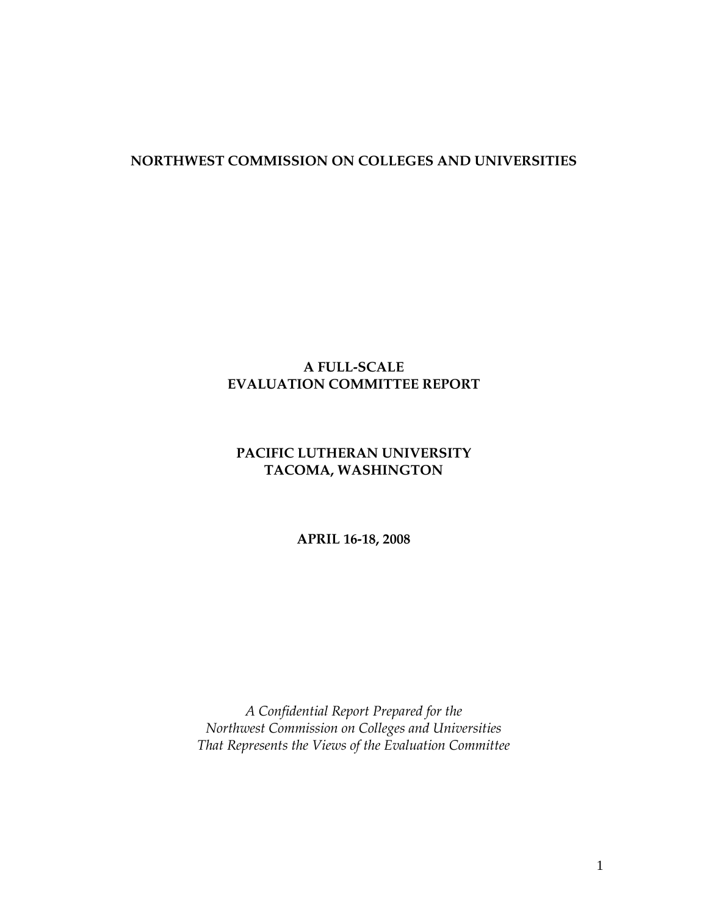#### **NORTHWEST COMMISSION ON COLLEGES AND UNIVERSITIES**

### **A FULL-SCALE EVALUATION COMMITTEE REPORT**

### **PACIFIC LUTHERAN UNIVERSITY TACOMA, WASHINGTON**

**APRIL 16-18, 2008** 

*A Confidential Report Prepared for the Northwest Commission on Colleges and Universities That Represents the Views of the Evaluation Committee*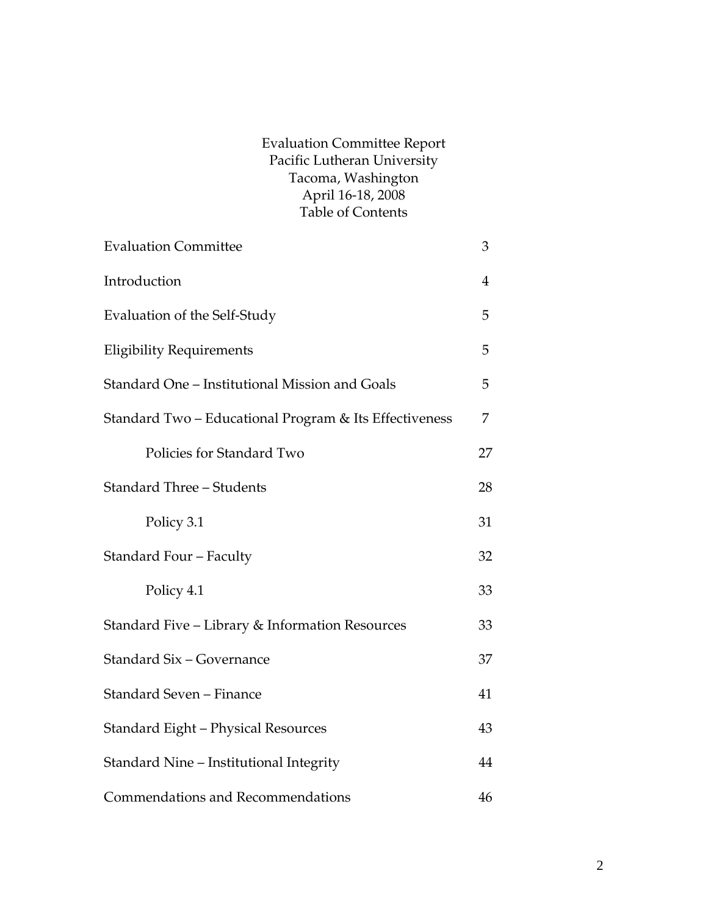#### Evaluation Committee Report Pacific Lutheran University Tacoma, Washington April 16-18, 2008 Table of Contents

| <b>Evaluation Committee</b>                            | 3              |
|--------------------------------------------------------|----------------|
| Introduction                                           | $\overline{4}$ |
| Evaluation of the Self-Study                           | 5              |
| <b>Eligibility Requirements</b>                        | 5              |
| Standard One - Institutional Mission and Goals         | 5              |
| Standard Two - Educational Program & Its Effectiveness | 7              |
| Policies for Standard Two                              | 27             |
| <b>Standard Three - Students</b>                       | 28             |
| Policy 3.1                                             | 31             |
| Standard Four - Faculty                                | 32             |
| Policy 4.1                                             | 33             |
| Standard Five - Library & Information Resources        | 33             |
| Standard Six - Governance                              | 37             |
| Standard Seven - Finance                               | 41             |
| Standard Eight - Physical Resources                    | 43             |
| Standard Nine - Institutional Integrity                | 44             |
| Commendations and Recommendations                      | 46             |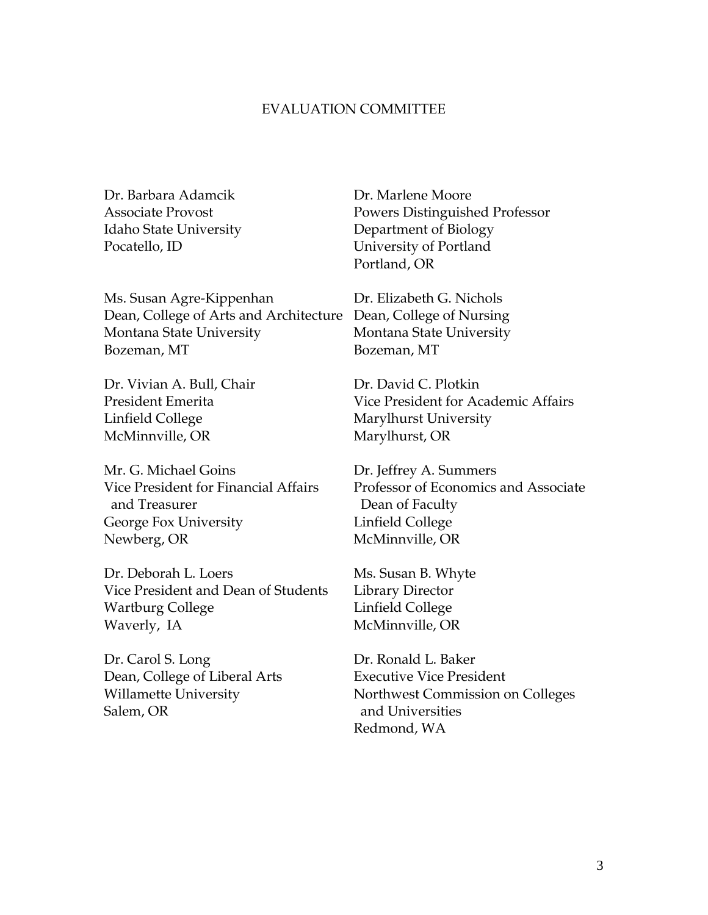#### EVALUATION COMMITTEE

Ms. Susan Agre-Kippenhan Dr. Elizabeth G. Nichols Dean, College of Arts and Architecture Dean, College of Nursing Montana State University Montana State University Bozeman, MT Bozeman, MT

Dr. Vivian A. Bull, Chair Dr. David C. Plotkin Linfield College Marylhurst University McMinnville, OR Marylhurst, OR

Mr. G. Michael Goins Dr. Jeffrey A. Summers and Treasurer **Dean of Faculty** George Fox University **Linfield College** Newberg, OR McMinnville, OR

Dr. Deborah L. Loers Ms. Susan B. Whyte Vice President and Dean of Students Library Director Wartburg College **Linfield College** Waverly, IA McMinnville, OR

Dr. Carol S. Long Dr. Ronald L. Baker Dean, College of Liberal Arts Executive Vice President Salem, OR and Universities

Dr. Barbara Adamcik Dr. Marlene Moore Associate Provost Powers Distinguished Professor Idaho State University Department of Biology Pocatello, ID University of Portland Portland, OR

President Emerita Vice President for Academic Affairs

Vice President for Financial Affairs Professor of Economics and Associate

Willamette University Northwest Commission on Colleges Redmond, WA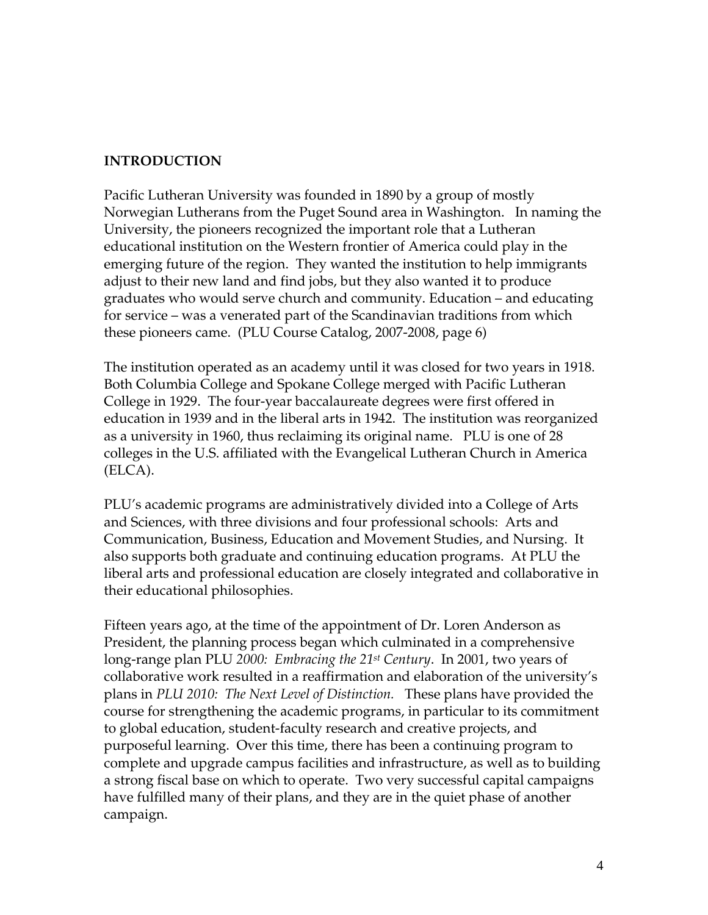#### **INTRODUCTION**

Pacific Lutheran University was founded in 1890 by a group of mostly Norwegian Lutherans from the Puget Sound area in Washington. In naming the University, the pioneers recognized the important role that a Lutheran educational institution on the Western frontier of America could play in the emerging future of the region. They wanted the institution to help immigrants adjust to their new land and find jobs, but they also wanted it to produce graduates who would serve church and community. Education – and educating for service – was a venerated part of the Scandinavian traditions from which these pioneers came. (PLU Course Catalog, 2007-2008, page 6)

The institution operated as an academy until it was closed for two years in 1918. Both Columbia College and Spokane College merged with Pacific Lutheran College in 1929. The four-year baccalaureate degrees were first offered in education in 1939 and in the liberal arts in 1942. The institution was reorganized as a university in 1960, thus reclaiming its original name. PLU is one of 28 colleges in the U.S. affiliated with the Evangelical Lutheran Church in America (ELCA).

PLU's academic programs are administratively divided into a College of Arts and Sciences, with three divisions and four professional schools: Arts and Communication, Business, Education and Movement Studies, and Nursing. It also supports both graduate and continuing education programs. At PLU the liberal arts and professional education are closely integrated and collaborative in their educational philosophies.

Fifteen years ago, at the time of the appointment of Dr. Loren Anderson as President, the planning process began which culminated in a comprehensive long-range plan PLU *2000: Embracing the 21st Century*. In 2001, two years of collaborative work resulted in a reaffirmation and elaboration of the university's plans in *PLU 2010: The Next Level of Distinction.* These plans have provided the course for strengthening the academic programs, in particular to its commitment to global education, student-faculty research and creative projects, and purposeful learning. Over this time, there has been a continuing program to complete and upgrade campus facilities and infrastructure, as well as to building a strong fiscal base on which to operate. Two very successful capital campaigns have fulfilled many of their plans, and they are in the quiet phase of another campaign.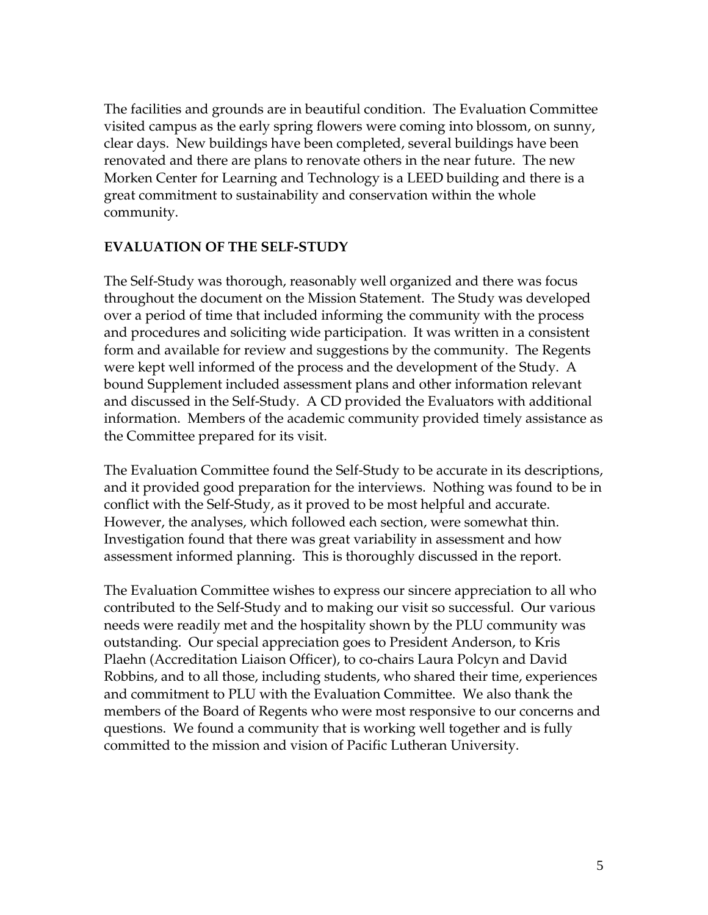The facilities and grounds are in beautiful condition. The Evaluation Committee visited campus as the early spring flowers were coming into blossom, on sunny, clear days. New buildings have been completed, several buildings have been renovated and there are plans to renovate others in the near future. The new Morken Center for Learning and Technology is a LEED building and there is a great commitment to sustainability and conservation within the whole community.

#### **EVALUATION OF THE SELF-STUDY**

The Self-Study was thorough, reasonably well organized and there was focus throughout the document on the Mission Statement. The Study was developed over a period of time that included informing the community with the process and procedures and soliciting wide participation. It was written in a consistent form and available for review and suggestions by the community. The Regents were kept well informed of the process and the development of the Study. A bound Supplement included assessment plans and other information relevant and discussed in the Self-Study. A CD provided the Evaluators with additional information. Members of the academic community provided timely assistance as the Committee prepared for its visit.

The Evaluation Committee found the Self-Study to be accurate in its descriptions, and it provided good preparation for the interviews. Nothing was found to be in conflict with the Self-Study, as it proved to be most helpful and accurate. However, the analyses, which followed each section, were somewhat thin. Investigation found that there was great variability in assessment and how assessment informed planning. This is thoroughly discussed in the report.

The Evaluation Committee wishes to express our sincere appreciation to all who contributed to the Self-Study and to making our visit so successful. Our various needs were readily met and the hospitality shown by the PLU community was outstanding. Our special appreciation goes to President Anderson, to Kris Plaehn (Accreditation Liaison Officer), to co-chairs Laura Polcyn and David Robbins, and to all those, including students, who shared their time, experiences and commitment to PLU with the Evaluation Committee. We also thank the members of the Board of Regents who were most responsive to our concerns and questions. We found a community that is working well together and is fully committed to the mission and vision of Pacific Lutheran University.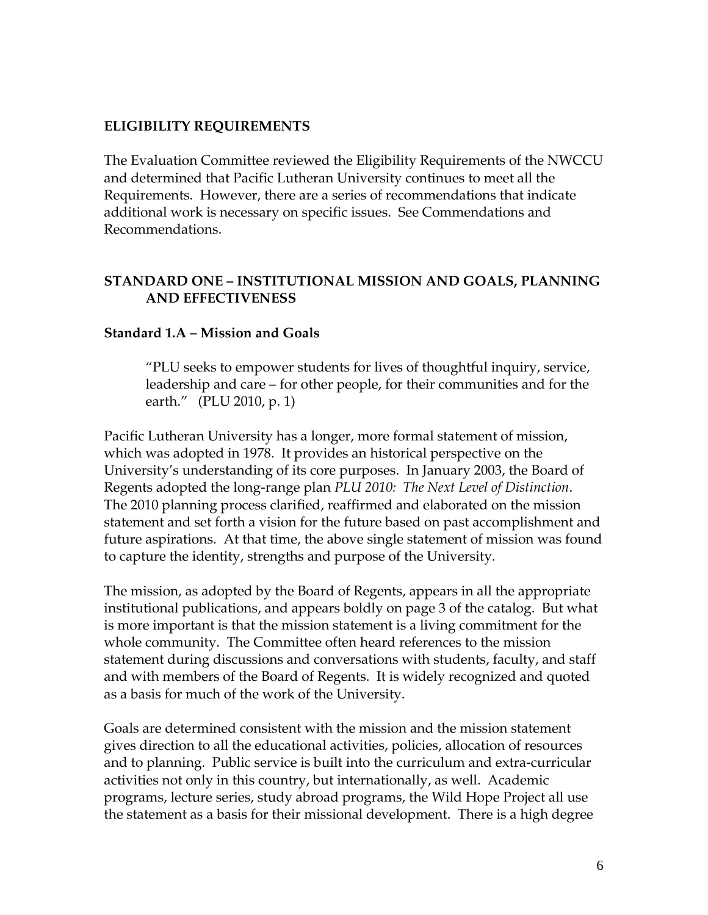#### **ELIGIBILITY REQUIREMENTS**

The Evaluation Committee reviewed the Eligibility Requirements of the NWCCU and determined that Pacific Lutheran University continues to meet all the Requirements. However, there are a series of recommendations that indicate additional work is necessary on specific issues. See Commendations and Recommendations.

### **STANDARD ONE – INSTITUTIONAL MISSION AND GOALS, PLANNING AND EFFECTIVENESS**

#### **Standard 1.A – Mission and Goals**

 "PLU seeks to empower students for lives of thoughtful inquiry, service, leadership and care – for other people, for their communities and for the earth." (PLU 2010, p. 1)

Pacific Lutheran University has a longer, more formal statement of mission, which was adopted in 1978. It provides an historical perspective on the University's understanding of its core purposes. In January 2003, the Board of Regents adopted the long-range plan *PLU 2010: The Next Level of Distinction*. The 2010 planning process clarified, reaffirmed and elaborated on the mission statement and set forth a vision for the future based on past accomplishment and future aspirations. At that time, the above single statement of mission was found to capture the identity, strengths and purpose of the University.

The mission, as adopted by the Board of Regents, appears in all the appropriate institutional publications, and appears boldly on page 3 of the catalog. But what is more important is that the mission statement is a living commitment for the whole community. The Committee often heard references to the mission statement during discussions and conversations with students, faculty, and staff and with members of the Board of Regents. It is widely recognized and quoted as a basis for much of the work of the University.

Goals are determined consistent with the mission and the mission statement gives direction to all the educational activities, policies, allocation of resources and to planning. Public service is built into the curriculum and extra-curricular activities not only in this country, but internationally, as well. Academic programs, lecture series, study abroad programs, the Wild Hope Project all use the statement as a basis for their missional development. There is a high degree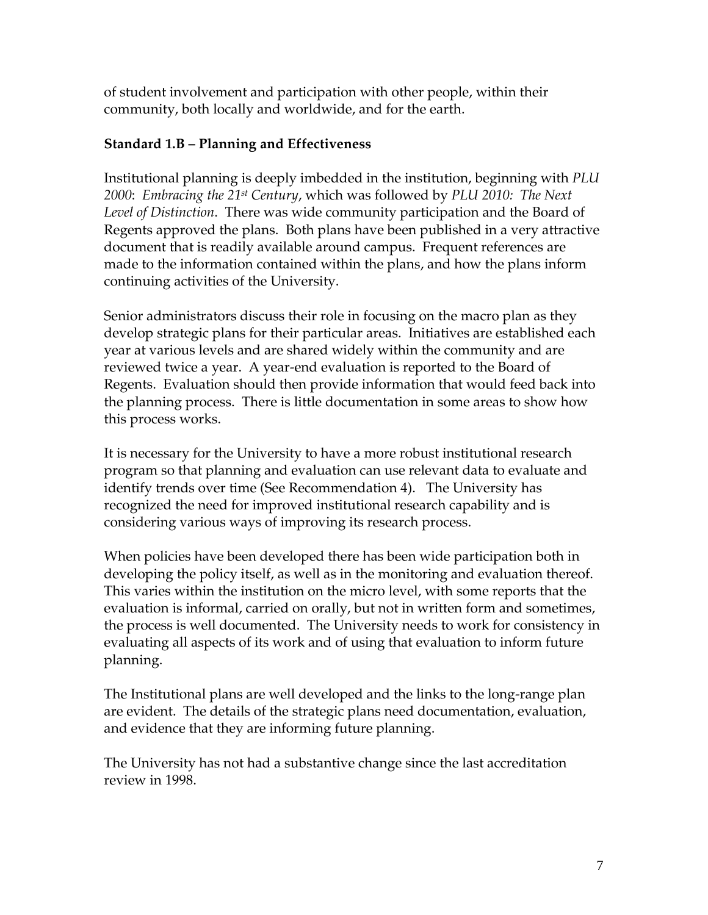of student involvement and participation with other people, within their community, both locally and worldwide, and for the earth.

### **Standard 1.B – Planning and Effectiveness**

Institutional planning is deeply imbedded in the institution, beginning with *PLU 2000*: *Embracing the 21st Century*, which was followed by *PLU 2010: The Next Level of Distinction*. There was wide community participation and the Board of Regents approved the plans. Both plans have been published in a very attractive document that is readily available around campus. Frequent references are made to the information contained within the plans, and how the plans inform continuing activities of the University.

Senior administrators discuss their role in focusing on the macro plan as they develop strategic plans for their particular areas. Initiatives are established each year at various levels and are shared widely within the community and are reviewed twice a year. A year-end evaluation is reported to the Board of Regents. Evaluation should then provide information that would feed back into the planning process. There is little documentation in some areas to show how this process works.

It is necessary for the University to have a more robust institutional research program so that planning and evaluation can use relevant data to evaluate and identify trends over time (See Recommendation 4). The University has recognized the need for improved institutional research capability and is considering various ways of improving its research process.

When policies have been developed there has been wide participation both in developing the policy itself, as well as in the monitoring and evaluation thereof. This varies within the institution on the micro level, with some reports that the evaluation is informal, carried on orally, but not in written form and sometimes, the process is well documented. The University needs to work for consistency in evaluating all aspects of its work and of using that evaluation to inform future planning.

The Institutional plans are well developed and the links to the long-range plan are evident. The details of the strategic plans need documentation, evaluation, and evidence that they are informing future planning.

The University has not had a substantive change since the last accreditation review in 1998.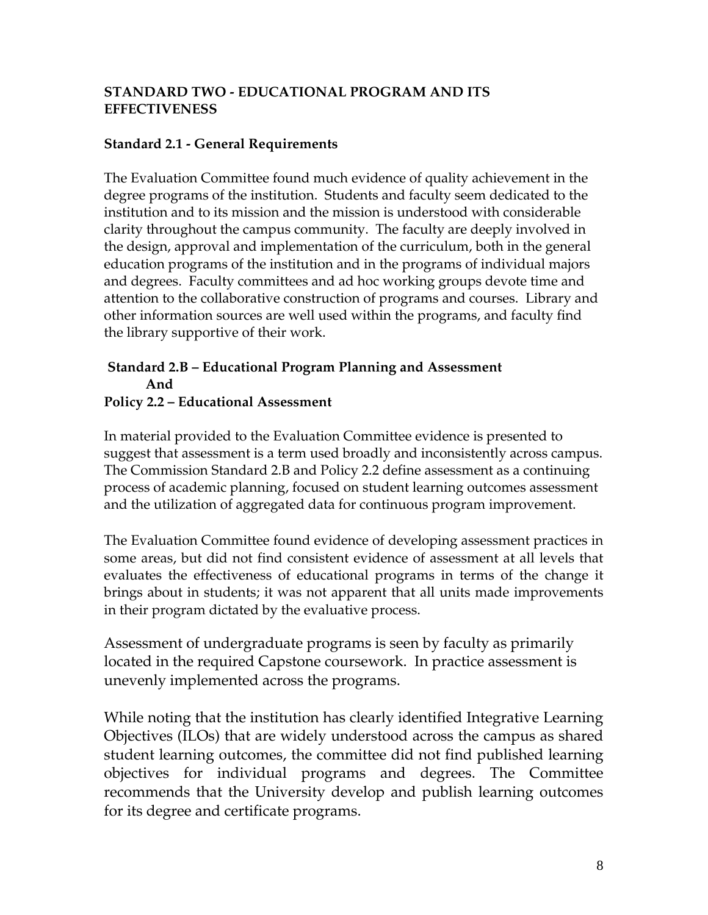### **STANDARD TWO - EDUCATIONAL PROGRAM AND ITS EFFECTIVENESS**

#### **Standard 2.1 - General Requirements**

The Evaluation Committee found much evidence of quality achievement in the degree programs of the institution. Students and faculty seem dedicated to the institution and to its mission and the mission is understood with considerable clarity throughout the campus community. The faculty are deeply involved in the design, approval and implementation of the curriculum, both in the general education programs of the institution and in the programs of individual majors and degrees. Faculty committees and ad hoc working groups devote time and attention to the collaborative construction of programs and courses. Library and other information sources are well used within the programs, and faculty find the library supportive of their work.

# **Standard 2.B – Educational Program Planning and Assessment And**

#### **Policy 2.2 – Educational Assessment**

In material provided to the Evaluation Committee evidence is presented to suggest that assessment is a term used broadly and inconsistently across campus. The Commission Standard 2.B and Policy 2.2 define assessment as a continuing process of academic planning, focused on student learning outcomes assessment and the utilization of aggregated data for continuous program improvement.

The Evaluation Committee found evidence of developing assessment practices in some areas, but did not find consistent evidence of assessment at all levels that evaluates the effectiveness of educational programs in terms of the change it brings about in students; it was not apparent that all units made improvements in their program dictated by the evaluative process.

Assessment of undergraduate programs is seen by faculty as primarily located in the required Capstone coursework. In practice assessment is unevenly implemented across the programs.

While noting that the institution has clearly identified Integrative Learning Objectives (ILOs) that are widely understood across the campus as shared student learning outcomes, the committee did not find published learning objectives for individual programs and degrees. The Committee recommends that the University develop and publish learning outcomes for its degree and certificate programs.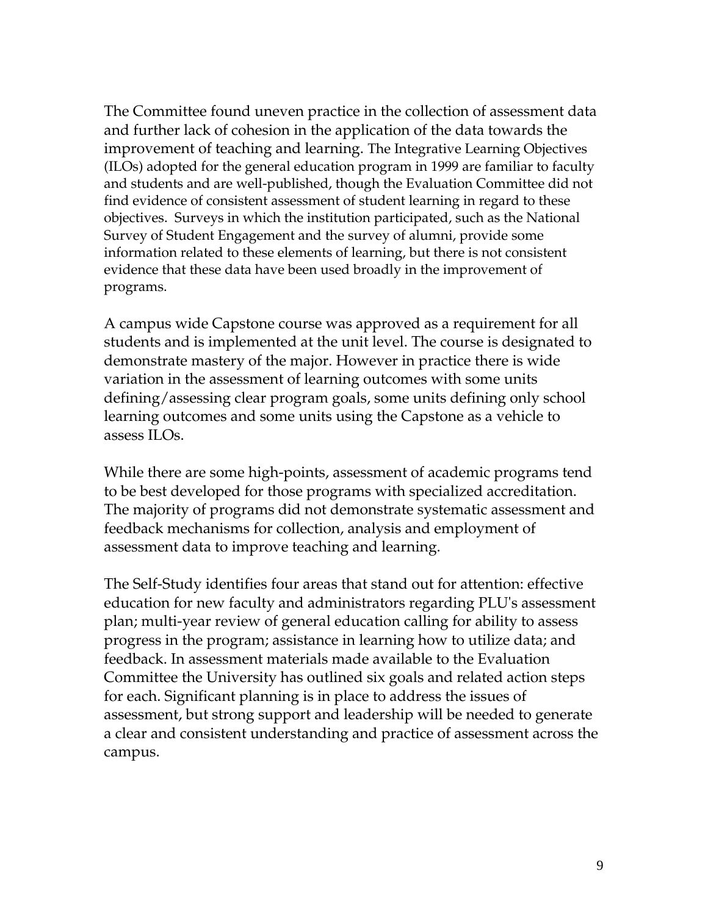The Committee found uneven practice in the collection of assessment data and further lack of cohesion in the application of the data towards the improvement of teaching and learning. The Integrative Learning Objectives (ILOs) adopted for the general education program in 1999 are familiar to faculty and students and are well-published, though the Evaluation Committee did not find evidence of consistent assessment of student learning in regard to these objectives. Surveys in which the institution participated, such as the National Survey of Student Engagement and the survey of alumni, provide some information related to these elements of learning, but there is not consistent evidence that these data have been used broadly in the improvement of programs.

A campus wide Capstone course was approved as a requirement for all students and is implemented at the unit level. The course is designated to demonstrate mastery of the major. However in practice there is wide variation in the assessment of learning outcomes with some units defining/assessing clear program goals, some units defining only school learning outcomes and some units using the Capstone as a vehicle to assess ILOs.

While there are some high-points, assessment of academic programs tend to be best developed for those programs with specialized accreditation. The majority of programs did not demonstrate systematic assessment and feedback mechanisms for collection, analysis and employment of assessment data to improve teaching and learning.

The Self-Study identifies four areas that stand out for attention: effective education for new faculty and administrators regarding PLU's assessment plan; multi-year review of general education calling for ability to assess progress in the program; assistance in learning how to utilize data; and feedback. In assessment materials made available to the Evaluation Committee the University has outlined six goals and related action steps for each. Significant planning is in place to address the issues of assessment, but strong support and leadership will be needed to generate a clear and consistent understanding and practice of assessment across the campus.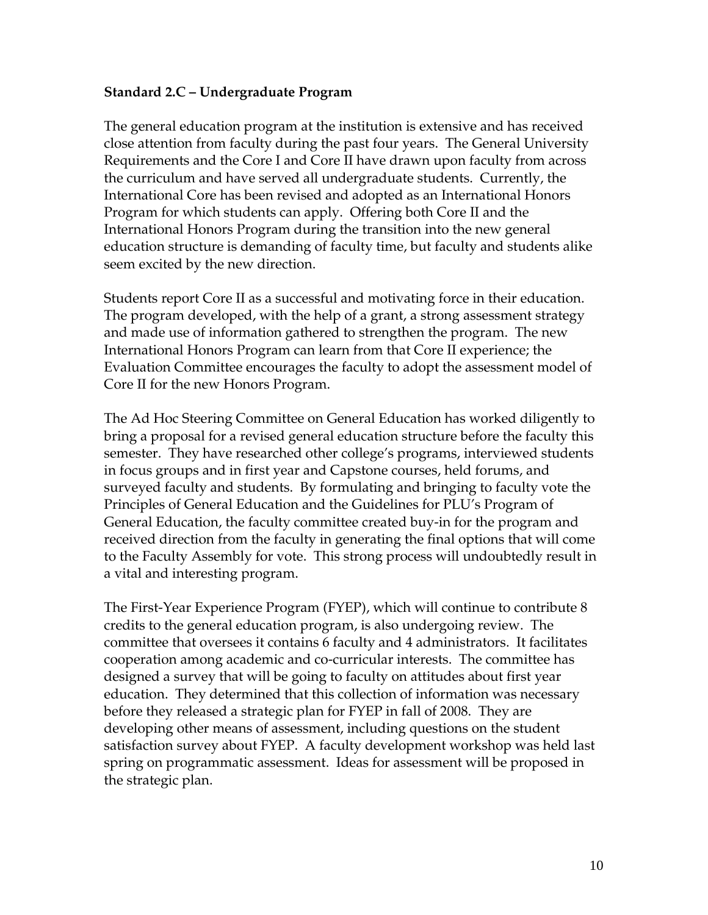#### **Standard 2.C – Undergraduate Program**

The general education program at the institution is extensive and has received close attention from faculty during the past four years. The General University Requirements and the Core I and Core II have drawn upon faculty from across the curriculum and have served all undergraduate students. Currently, the International Core has been revised and adopted as an International Honors Program for which students can apply. Offering both Core II and the International Honors Program during the transition into the new general education structure is demanding of faculty time, but faculty and students alike seem excited by the new direction.

Students report Core II as a successful and motivating force in their education. The program developed, with the help of a grant, a strong assessment strategy and made use of information gathered to strengthen the program. The new International Honors Program can learn from that Core II experience; the Evaluation Committee encourages the faculty to adopt the assessment model of Core II for the new Honors Program.

The Ad Hoc Steering Committee on General Education has worked diligently to bring a proposal for a revised general education structure before the faculty this semester. They have researched other college's programs, interviewed students in focus groups and in first year and Capstone courses, held forums, and surveyed faculty and students. By formulating and bringing to faculty vote the Principles of General Education and the Guidelines for PLU's Program of General Education, the faculty committee created buy-in for the program and received direction from the faculty in generating the final options that will come to the Faculty Assembly for vote. This strong process will undoubtedly result in a vital and interesting program.

The First-Year Experience Program (FYEP), which will continue to contribute 8 credits to the general education program, is also undergoing review. The committee that oversees it contains 6 faculty and 4 administrators. It facilitates cooperation among academic and co-curricular interests. The committee has designed a survey that will be going to faculty on attitudes about first year education. They determined that this collection of information was necessary before they released a strategic plan for FYEP in fall of 2008. They are developing other means of assessment, including questions on the student satisfaction survey about FYEP. A faculty development workshop was held last spring on programmatic assessment. Ideas for assessment will be proposed in the strategic plan.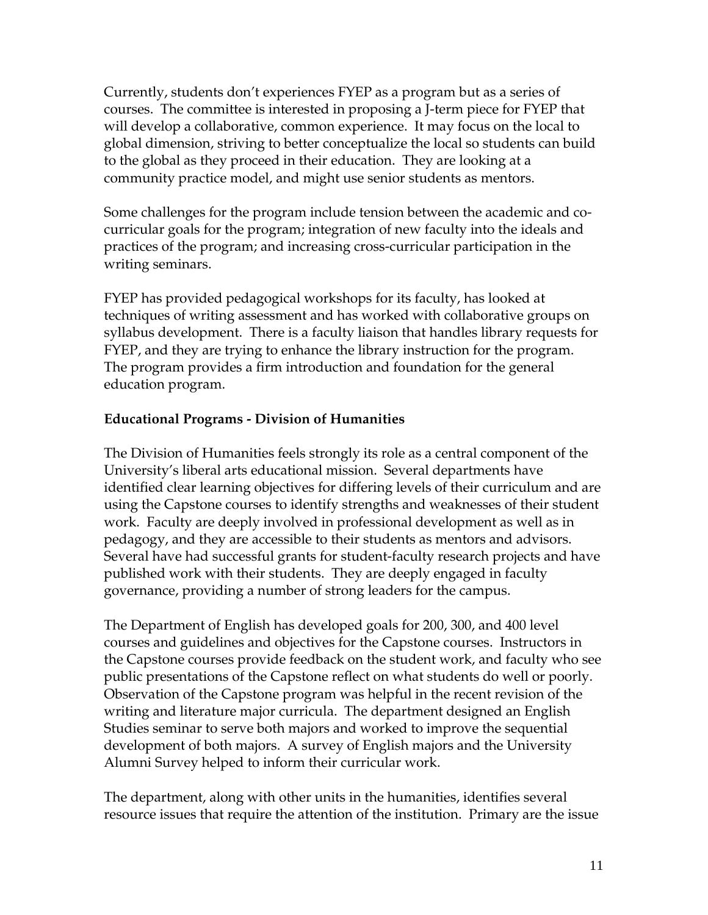Currently, students don't experiences FYEP as a program but as a series of courses. The committee is interested in proposing a J-term piece for FYEP that will develop a collaborative, common experience. It may focus on the local to global dimension, striving to better conceptualize the local so students can build to the global as they proceed in their education. They are looking at a community practice model, and might use senior students as mentors.

Some challenges for the program include tension between the academic and cocurricular goals for the program; integration of new faculty into the ideals and practices of the program; and increasing cross-curricular participation in the writing seminars.

FYEP has provided pedagogical workshops for its faculty, has looked at techniques of writing assessment and has worked with collaborative groups on syllabus development. There is a faculty liaison that handles library requests for FYEP, and they are trying to enhance the library instruction for the program. The program provides a firm introduction and foundation for the general education program.

### **Educational Programs - Division of Humanities**

The Division of Humanities feels strongly its role as a central component of the University's liberal arts educational mission. Several departments have identified clear learning objectives for differing levels of their curriculum and are using the Capstone courses to identify strengths and weaknesses of their student work. Faculty are deeply involved in professional development as well as in pedagogy, and they are accessible to their students as mentors and advisors. Several have had successful grants for student-faculty research projects and have published work with their students. They are deeply engaged in faculty governance, providing a number of strong leaders for the campus.

The Department of English has developed goals for 200, 300, and 400 level courses and guidelines and objectives for the Capstone courses. Instructors in the Capstone courses provide feedback on the student work, and faculty who see public presentations of the Capstone reflect on what students do well or poorly. Observation of the Capstone program was helpful in the recent revision of the writing and literature major curricula. The department designed an English Studies seminar to serve both majors and worked to improve the sequential development of both majors. A survey of English majors and the University Alumni Survey helped to inform their curricular work.

The department, along with other units in the humanities, identifies several resource issues that require the attention of the institution. Primary are the issue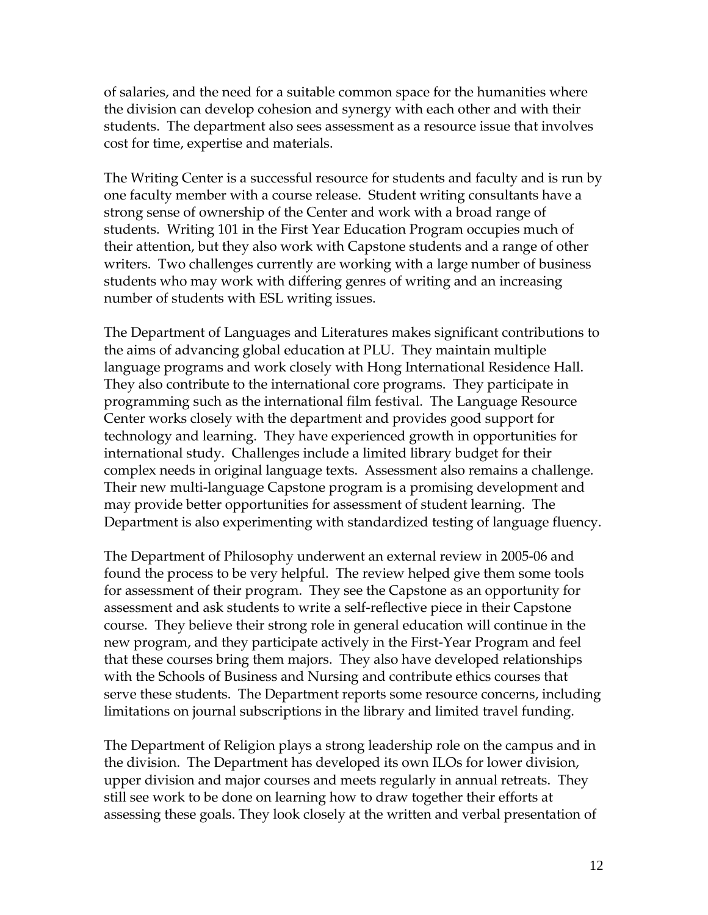of salaries, and the need for a suitable common space for the humanities where the division can develop cohesion and synergy with each other and with their students. The department also sees assessment as a resource issue that involves cost for time, expertise and materials.

The Writing Center is a successful resource for students and faculty and is run by one faculty member with a course release. Student writing consultants have a strong sense of ownership of the Center and work with a broad range of students. Writing 101 in the First Year Education Program occupies much of their attention, but they also work with Capstone students and a range of other writers. Two challenges currently are working with a large number of business students who may work with differing genres of writing and an increasing number of students with ESL writing issues.

The Department of Languages and Literatures makes significant contributions to the aims of advancing global education at PLU. They maintain multiple language programs and work closely with Hong International Residence Hall. They also contribute to the international core programs. They participate in programming such as the international film festival. The Language Resource Center works closely with the department and provides good support for technology and learning. They have experienced growth in opportunities for international study. Challenges include a limited library budget for their complex needs in original language texts. Assessment also remains a challenge. Their new multi-language Capstone program is a promising development and may provide better opportunities for assessment of student learning. The Department is also experimenting with standardized testing of language fluency.

The Department of Philosophy underwent an external review in 2005-06 and found the process to be very helpful. The review helped give them some tools for assessment of their program. They see the Capstone as an opportunity for assessment and ask students to write a self-reflective piece in their Capstone course. They believe their strong role in general education will continue in the new program, and they participate actively in the First-Year Program and feel that these courses bring them majors. They also have developed relationships with the Schools of Business and Nursing and contribute ethics courses that serve these students. The Department reports some resource concerns, including limitations on journal subscriptions in the library and limited travel funding.

The Department of Religion plays a strong leadership role on the campus and in the division. The Department has developed its own ILOs for lower division, upper division and major courses and meets regularly in annual retreats. They still see work to be done on learning how to draw together their efforts at assessing these goals. They look closely at the written and verbal presentation of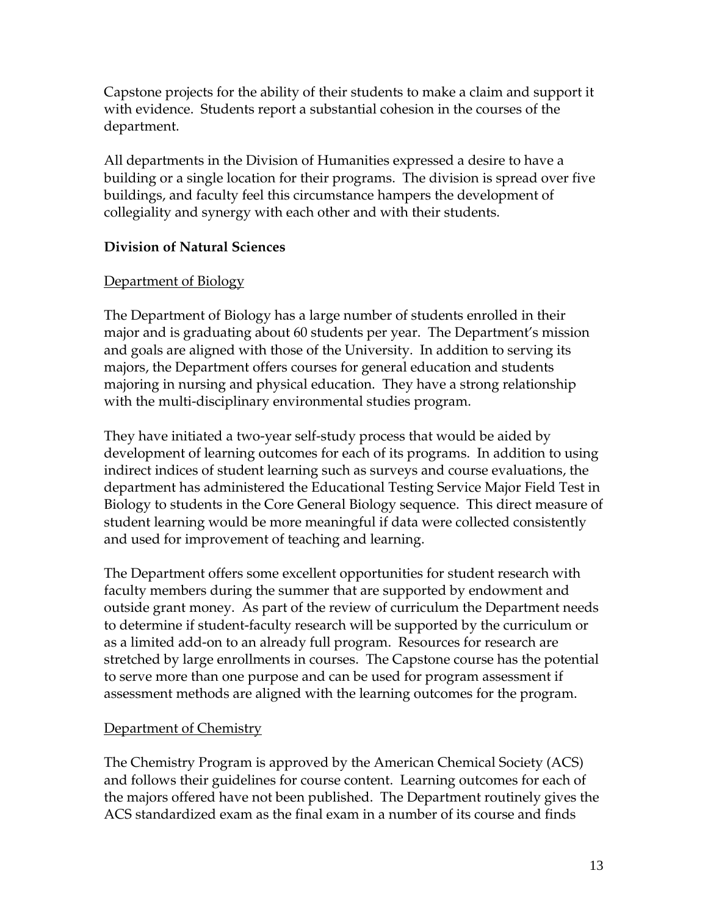Capstone projects for the ability of their students to make a claim and support it with evidence. Students report a substantial cohesion in the courses of the department.

All departments in the Division of Humanities expressed a desire to have a building or a single location for their programs. The division is spread over five buildings, and faculty feel this circumstance hampers the development of collegiality and synergy with each other and with their students.

### **Division of Natural Sciences**

#### Department of Biology

The Department of Biology has a large number of students enrolled in their major and is graduating about 60 students per year. The Department's mission and goals are aligned with those of the University. In addition to serving its majors, the Department offers courses for general education and students majoring in nursing and physical education. They have a strong relationship with the multi-disciplinary environmental studies program.

They have initiated a two-year self-study process that would be aided by development of learning outcomes for each of its programs. In addition to using indirect indices of student learning such as surveys and course evaluations, the department has administered the Educational Testing Service Major Field Test in Biology to students in the Core General Biology sequence. This direct measure of student learning would be more meaningful if data were collected consistently and used for improvement of teaching and learning.

The Department offers some excellent opportunities for student research with faculty members during the summer that are supported by endowment and outside grant money. As part of the review of curriculum the Department needs to determine if student-faculty research will be supported by the curriculum or as a limited add-on to an already full program. Resources for research are stretched by large enrollments in courses. The Capstone course has the potential to serve more than one purpose and can be used for program assessment if assessment methods are aligned with the learning outcomes for the program.

### Department of Chemistry

The Chemistry Program is approved by the American Chemical Society (ACS) and follows their guidelines for course content. Learning outcomes for each of the majors offered have not been published. The Department routinely gives the ACS standardized exam as the final exam in a number of its course and finds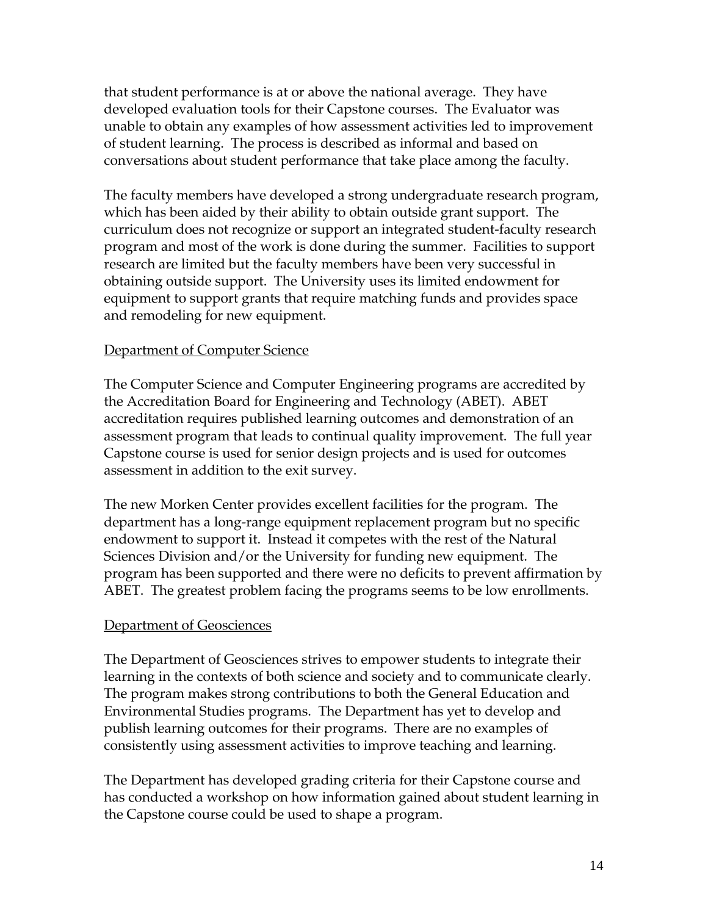that student performance is at or above the national average. They have developed evaluation tools for their Capstone courses. The Evaluator was unable to obtain any examples of how assessment activities led to improvement of student learning. The process is described as informal and based on conversations about student performance that take place among the faculty.

The faculty members have developed a strong undergraduate research program, which has been aided by their ability to obtain outside grant support. The curriculum does not recognize or support an integrated student-faculty research program and most of the work is done during the summer. Facilities to support research are limited but the faculty members have been very successful in obtaining outside support. The University uses its limited endowment for equipment to support grants that require matching funds and provides space and remodeling for new equipment.

#### **Department of Computer Science**

The Computer Science and Computer Engineering programs are accredited by the Accreditation Board for Engineering and Technology (ABET). ABET accreditation requires published learning outcomes and demonstration of an assessment program that leads to continual quality improvement. The full year Capstone course is used for senior design projects and is used for outcomes assessment in addition to the exit survey.

The new Morken Center provides excellent facilities for the program. The department has a long-range equipment replacement program but no specific endowment to support it. Instead it competes with the rest of the Natural Sciences Division and/or the University for funding new equipment. The program has been supported and there were no deficits to prevent affirmation by ABET. The greatest problem facing the programs seems to be low enrollments.

#### **Department of Geosciences**

The Department of Geosciences strives to empower students to integrate their learning in the contexts of both science and society and to communicate clearly. The program makes strong contributions to both the General Education and Environmental Studies programs. The Department has yet to develop and publish learning outcomes for their programs. There are no examples of consistently using assessment activities to improve teaching and learning.

The Department has developed grading criteria for their Capstone course and has conducted a workshop on how information gained about student learning in the Capstone course could be used to shape a program.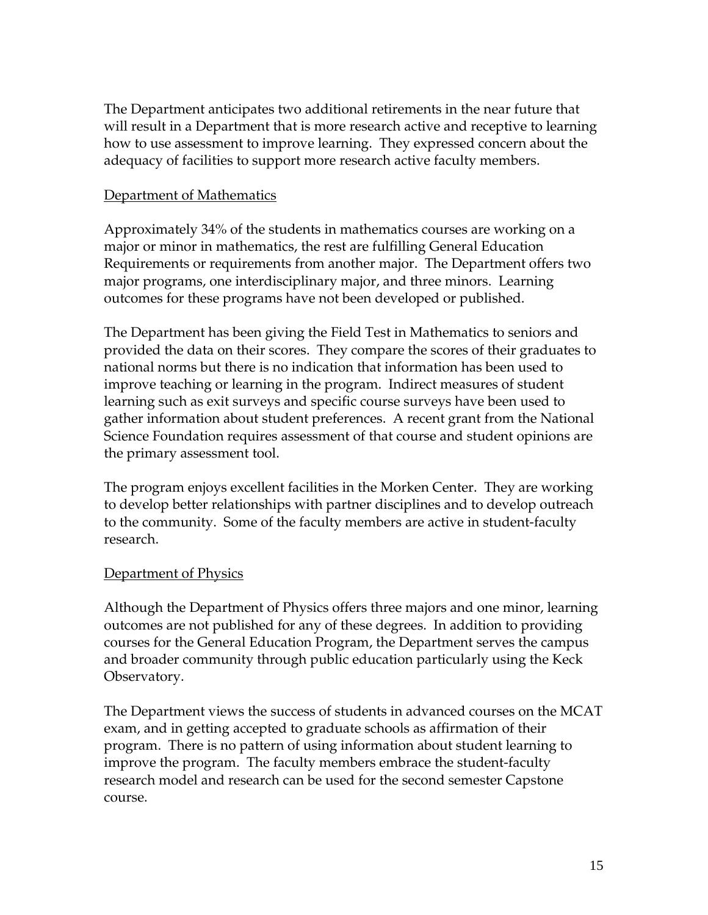The Department anticipates two additional retirements in the near future that will result in a Department that is more research active and receptive to learning how to use assessment to improve learning. They expressed concern about the adequacy of facilities to support more research active faculty members.

#### Department of Mathematics

Approximately 34% of the students in mathematics courses are working on a major or minor in mathematics, the rest are fulfilling General Education Requirements or requirements from another major. The Department offers two major programs, one interdisciplinary major, and three minors. Learning outcomes for these programs have not been developed or published.

The Department has been giving the Field Test in Mathematics to seniors and provided the data on their scores. They compare the scores of their graduates to national norms but there is no indication that information has been used to improve teaching or learning in the program. Indirect measures of student learning such as exit surveys and specific course surveys have been used to gather information about student preferences. A recent grant from the National Science Foundation requires assessment of that course and student opinions are the primary assessment tool.

The program enjoys excellent facilities in the Morken Center. They are working to develop better relationships with partner disciplines and to develop outreach to the community. Some of the faculty members are active in student-faculty research.

#### Department of Physics

Although the Department of Physics offers three majors and one minor, learning outcomes are not published for any of these degrees. In addition to providing courses for the General Education Program, the Department serves the campus and broader community through public education particularly using the Keck Observatory.

The Department views the success of students in advanced courses on the MCAT exam, and in getting accepted to graduate schools as affirmation of their program. There is no pattern of using information about student learning to improve the program. The faculty members embrace the student-faculty research model and research can be used for the second semester Capstone course.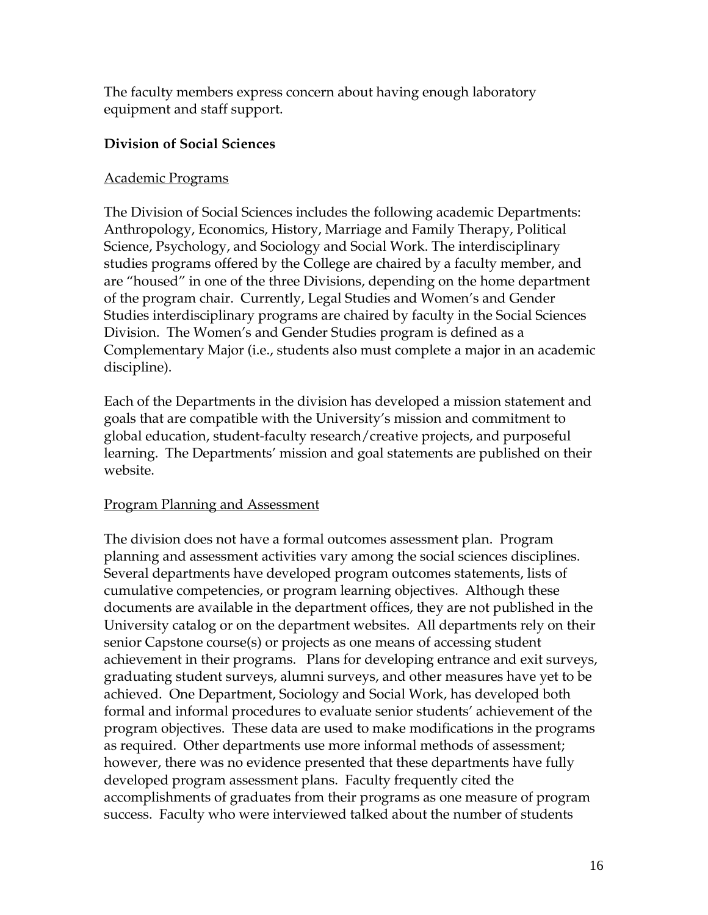The faculty members express concern about having enough laboratory equipment and staff support.

### **Division of Social Sciences**

### Academic Programs

The Division of Social Sciences includes the following academic Departments: Anthropology, Economics, History, Marriage and Family Therapy, Political Science, Psychology, and Sociology and Social Work. The interdisciplinary studies programs offered by the College are chaired by a faculty member, and are "housed" in one of the three Divisions, depending on the home department of the program chair. Currently, Legal Studies and Women's and Gender Studies interdisciplinary programs are chaired by faculty in the Social Sciences Division. The Women's and Gender Studies program is defined as a Complementary Major (i.e., students also must complete a major in an academic discipline).

Each of the Departments in the division has developed a mission statement and goals that are compatible with the University's mission and commitment to global education, student-faculty research/creative projects, and purposeful learning. The Departments' mission and goal statements are published on their website.

### Program Planning and Assessment

The division does not have a formal outcomes assessment plan. Program planning and assessment activities vary among the social sciences disciplines. Several departments have developed program outcomes statements, lists of cumulative competencies, or program learning objectives. Although these documents are available in the department offices, they are not published in the University catalog or on the department websites. All departments rely on their senior Capstone course(s) or projects as one means of accessing student achievement in their programs. Plans for developing entrance and exit surveys, graduating student surveys, alumni surveys, and other measures have yet to be achieved. One Department, Sociology and Social Work, has developed both formal and informal procedures to evaluate senior students' achievement of the program objectives. These data are used to make modifications in the programs as required. Other departments use more informal methods of assessment; however, there was no evidence presented that these departments have fully developed program assessment plans. Faculty frequently cited the accomplishments of graduates from their programs as one measure of program success. Faculty who were interviewed talked about the number of students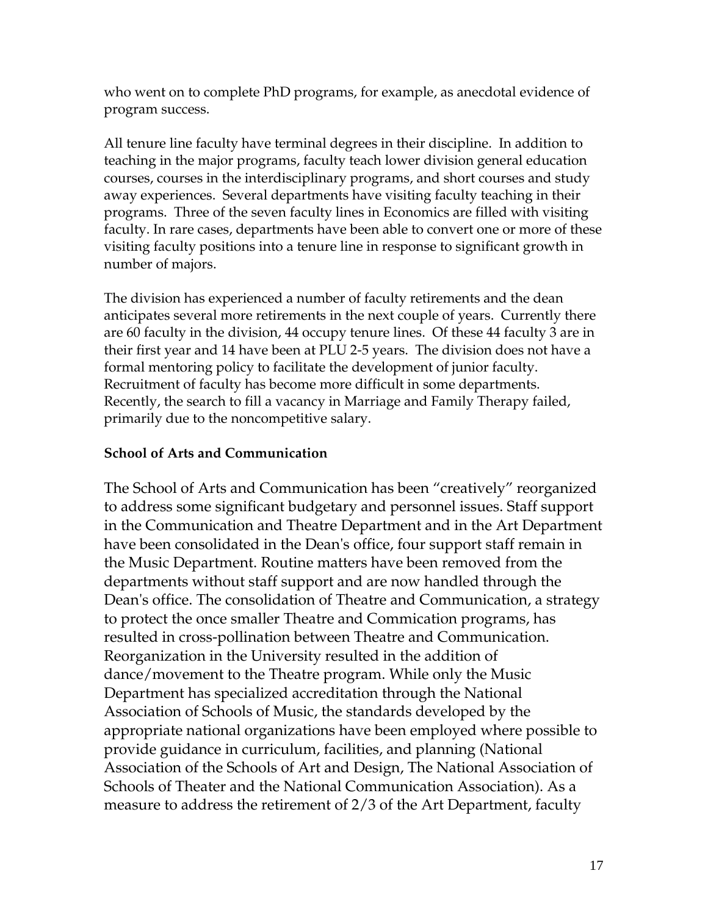who went on to complete PhD programs, for example, as anecdotal evidence of program success.

All tenure line faculty have terminal degrees in their discipline. In addition to teaching in the major programs, faculty teach lower division general education courses, courses in the interdisciplinary programs, and short courses and study away experiences. Several departments have visiting faculty teaching in their programs. Three of the seven faculty lines in Economics are filled with visiting faculty. In rare cases, departments have been able to convert one or more of these visiting faculty positions into a tenure line in response to significant growth in number of majors.

The division has experienced a number of faculty retirements and the dean anticipates several more retirements in the next couple of years. Currently there are 60 faculty in the division, 44 occupy tenure lines. Of these 44 faculty 3 are in their first year and 14 have been at PLU 2-5 years. The division does not have a formal mentoring policy to facilitate the development of junior faculty. Recruitment of faculty has become more difficult in some departments. Recently, the search to fill a vacancy in Marriage and Family Therapy failed, primarily due to the noncompetitive salary.

### **School of Arts and Communication**

The School of Arts and Communication has been "creatively" reorganized to address some significant budgetary and personnel issues. Staff support in the Communication and Theatre Department and in the Art Department have been consolidated in the Dean's office, four support staff remain in the Music Department. Routine matters have been removed from the departments without staff support and are now handled through the Dean's office. The consolidation of Theatre and Communication, a strategy to protect the once smaller Theatre and Commication programs, has resulted in cross-pollination between Theatre and Communication. Reorganization in the University resulted in the addition of dance/movement to the Theatre program. While only the Music Department has specialized accreditation through the National Association of Schools of Music, the standards developed by the appropriate national organizations have been employed where possible to provide guidance in curriculum, facilities, and planning (National Association of the Schools of Art and Design, The National Association of Schools of Theater and the National Communication Association). As a measure to address the retirement of 2/3 of the Art Department, faculty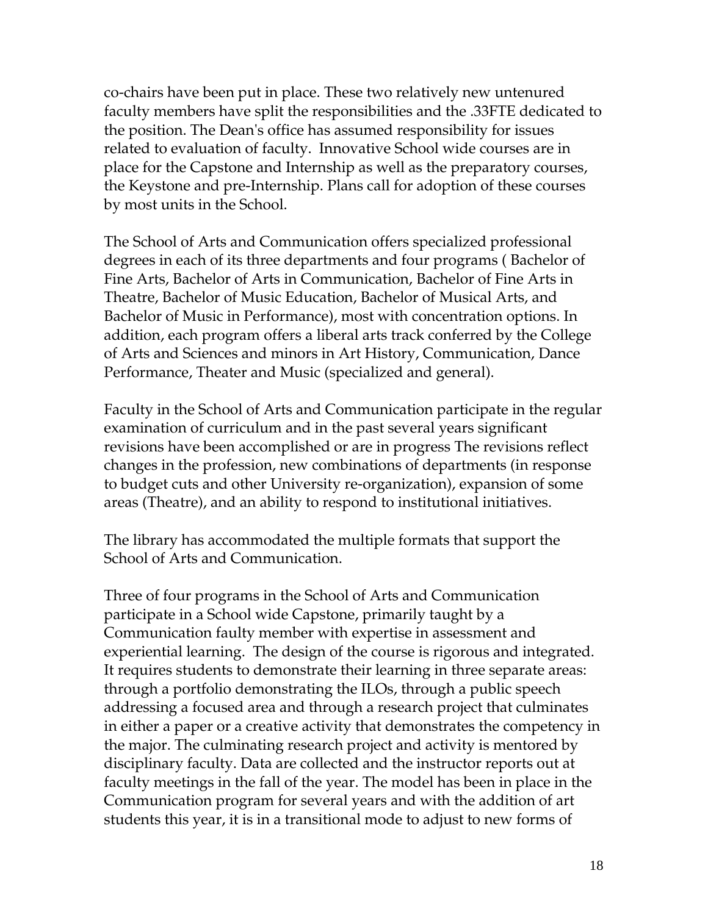co-chairs have been put in place. These two relatively new untenured faculty members have split the responsibilities and the .33FTE dedicated to the position. The Dean's office has assumed responsibility for issues related to evaluation of faculty. Innovative School wide courses are in place for the Capstone and Internship as well as the preparatory courses, the Keystone and pre-Internship. Plans call for adoption of these courses by most units in the School.

The School of Arts and Communication offers specialized professional degrees in each of its three departments and four programs ( Bachelor of Fine Arts, Bachelor of Arts in Communication, Bachelor of Fine Arts in Theatre, Bachelor of Music Education, Bachelor of Musical Arts, and Bachelor of Music in Performance), most with concentration options. In addition, each program offers a liberal arts track conferred by the College of Arts and Sciences and minors in Art History, Communication, Dance Performance, Theater and Music (specialized and general).

Faculty in the School of Arts and Communication participate in the regular examination of curriculum and in the past several years significant revisions have been accomplished or are in progress The revisions reflect changes in the profession, new combinations of departments (in response to budget cuts and other University re-organization), expansion of some areas (Theatre), and an ability to respond to institutional initiatives.

The library has accommodated the multiple formats that support the School of Arts and Communication.

Three of four programs in the School of Arts and Communication participate in a School wide Capstone, primarily taught by a Communication faulty member with expertise in assessment and experiential learning. The design of the course is rigorous and integrated. It requires students to demonstrate their learning in three separate areas: through a portfolio demonstrating the ILOs, through a public speech addressing a focused area and through a research project that culminates in either a paper or a creative activity that demonstrates the competency in the major. The culminating research project and activity is mentored by disciplinary faculty. Data are collected and the instructor reports out at faculty meetings in the fall of the year. The model has been in place in the Communication program for several years and with the addition of art students this year, it is in a transitional mode to adjust to new forms of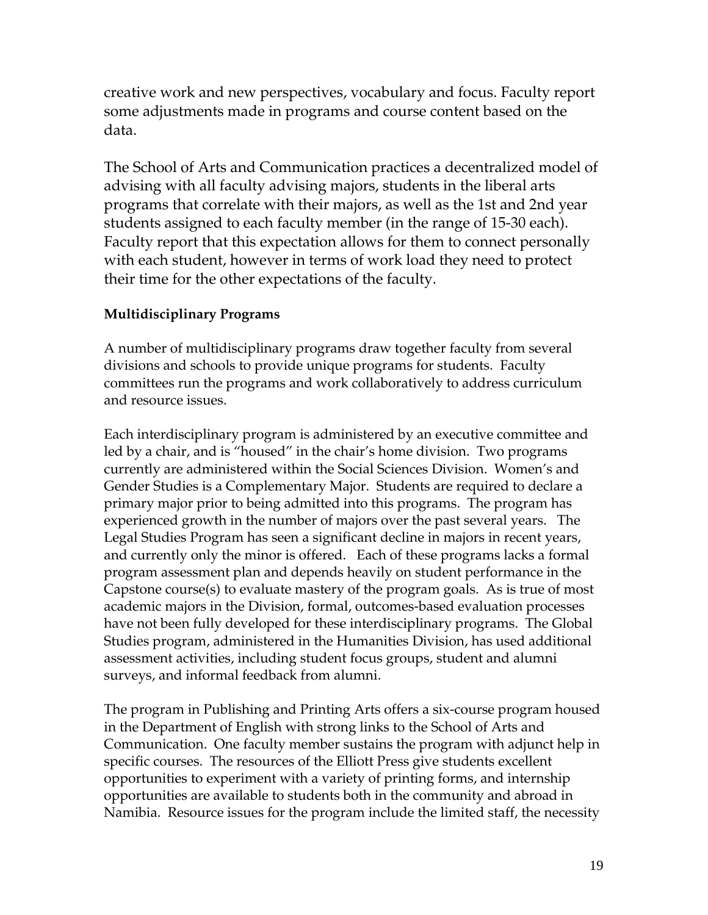creative work and new perspectives, vocabulary and focus. Faculty report some adjustments made in programs and course content based on the data.

The School of Arts and Communication practices a decentralized model of advising with all faculty advising majors, students in the liberal arts programs that correlate with their majors, as well as the 1st and 2nd year students assigned to each faculty member (in the range of 15-30 each). Faculty report that this expectation allows for them to connect personally with each student, however in terms of work load they need to protect their time for the other expectations of the faculty.

# **Multidisciplinary Programs**

A number of multidisciplinary programs draw together faculty from several divisions and schools to provide unique programs for students. Faculty committees run the programs and work collaboratively to address curriculum and resource issues.

Each interdisciplinary program is administered by an executive committee and led by a chair, and is "housed" in the chair's home division. Two programs currently are administered within the Social Sciences Division. Women's and Gender Studies is a Complementary Major. Students are required to declare a primary major prior to being admitted into this programs. The program has experienced growth in the number of majors over the past several years. The Legal Studies Program has seen a significant decline in majors in recent years, and currently only the minor is offered. Each of these programs lacks a formal program assessment plan and depends heavily on student performance in the Capstone course(s) to evaluate mastery of the program goals. As is true of most academic majors in the Division, formal, outcomes-based evaluation processes have not been fully developed for these interdisciplinary programs. The Global Studies program, administered in the Humanities Division, has used additional assessment activities, including student focus groups, student and alumni surveys, and informal feedback from alumni.

The program in Publishing and Printing Arts offers a six-course program housed in the Department of English with strong links to the School of Arts and Communication. One faculty member sustains the program with adjunct help in specific courses. The resources of the Elliott Press give students excellent opportunities to experiment with a variety of printing forms, and internship opportunities are available to students both in the community and abroad in Namibia. Resource issues for the program include the limited staff, the necessity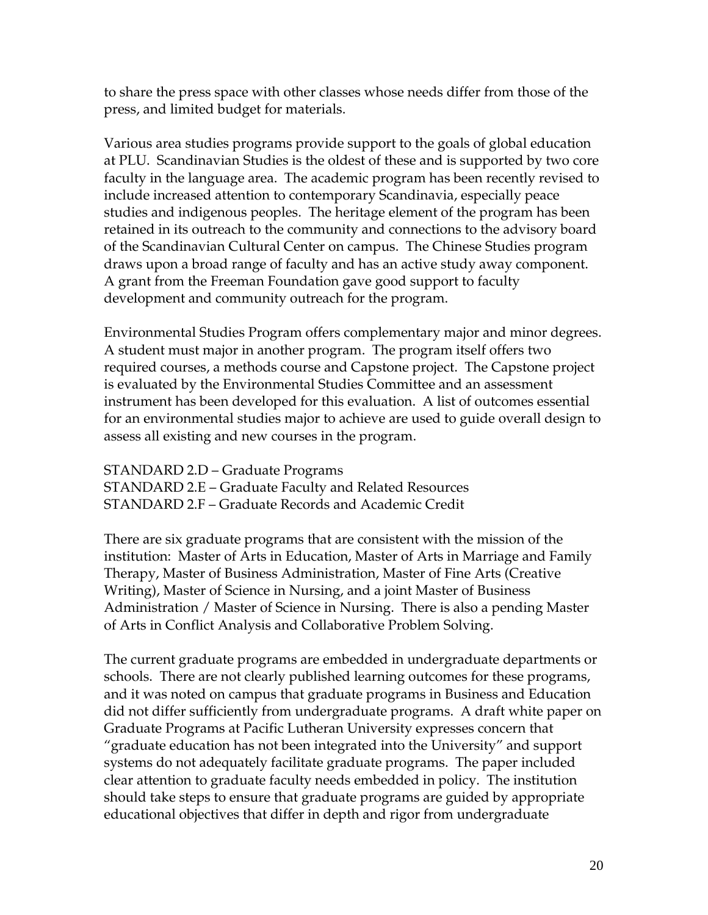to share the press space with other classes whose needs differ from those of the press, and limited budget for materials.

Various area studies programs provide support to the goals of global education at PLU. Scandinavian Studies is the oldest of these and is supported by two core faculty in the language area. The academic program has been recently revised to include increased attention to contemporary Scandinavia, especially peace studies and indigenous peoples. The heritage element of the program has been retained in its outreach to the community and connections to the advisory board of the Scandinavian Cultural Center on campus. The Chinese Studies program draws upon a broad range of faculty and has an active study away component. A grant from the Freeman Foundation gave good support to faculty development and community outreach for the program.

Environmental Studies Program offers complementary major and minor degrees. A student must major in another program. The program itself offers two required courses, a methods course and Capstone project. The Capstone project is evaluated by the Environmental Studies Committee and an assessment instrument has been developed for this evaluation. A list of outcomes essential for an environmental studies major to achieve are used to guide overall design to assess all existing and new courses in the program.

STANDARD 2.D – Graduate Programs STANDARD 2.E – Graduate Faculty and Related Resources STANDARD 2.F – Graduate Records and Academic Credit

There are six graduate programs that are consistent with the mission of the institution: Master of Arts in Education, Master of Arts in Marriage and Family Therapy, Master of Business Administration, Master of Fine Arts (Creative Writing), Master of Science in Nursing, and a joint Master of Business Administration / Master of Science in Nursing. There is also a pending Master of Arts in Conflict Analysis and Collaborative Problem Solving.

The current graduate programs are embedded in undergraduate departments or schools. There are not clearly published learning outcomes for these programs, and it was noted on campus that graduate programs in Business and Education did not differ sufficiently from undergraduate programs. A draft white paper on Graduate Programs at Pacific Lutheran University expresses concern that "graduate education has not been integrated into the University" and support systems do not adequately facilitate graduate programs. The paper included clear attention to graduate faculty needs embedded in policy. The institution should take steps to ensure that graduate programs are guided by appropriate educational objectives that differ in depth and rigor from undergraduate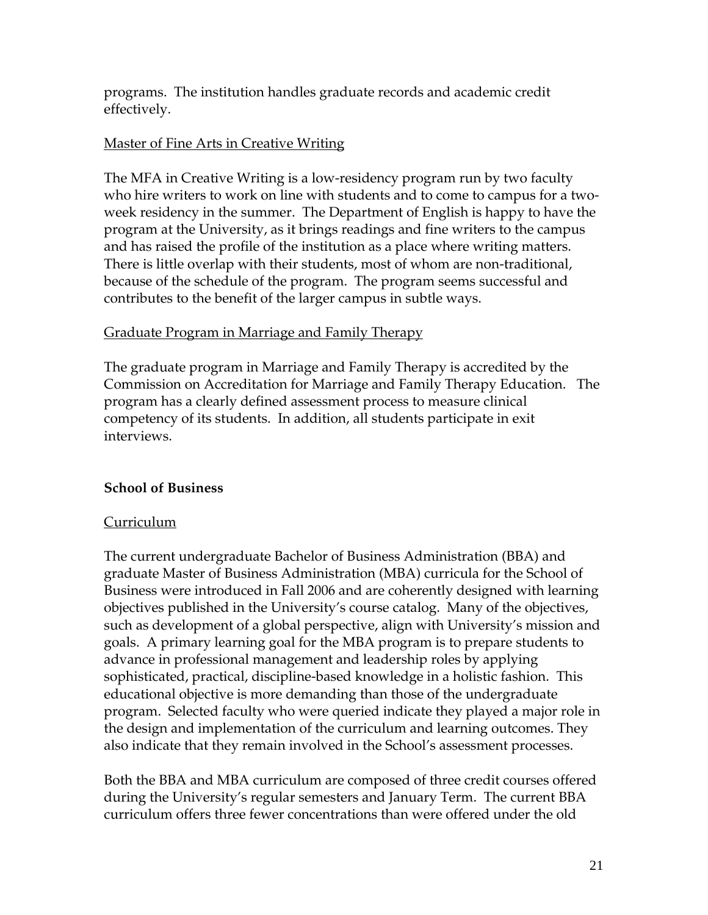programs. The institution handles graduate records and academic credit effectively.

### Master of Fine Arts in Creative Writing

The MFA in Creative Writing is a low-residency program run by two faculty who hire writers to work on line with students and to come to campus for a twoweek residency in the summer. The Department of English is happy to have the program at the University, as it brings readings and fine writers to the campus and has raised the profile of the institution as a place where writing matters. There is little overlap with their students, most of whom are non-traditional, because of the schedule of the program. The program seems successful and contributes to the benefit of the larger campus in subtle ways.

#### Graduate Program in Marriage and Family Therapy

The graduate program in Marriage and Family Therapy is accredited by the Commission on Accreditation for Marriage and Family Therapy Education. The program has a clearly defined assessment process to measure clinical competency of its students. In addition, all students participate in exit interviews.

### **School of Business**

#### Curriculum

The current undergraduate Bachelor of Business Administration (BBA) and graduate Master of Business Administration (MBA) curricula for the School of Business were introduced in Fall 2006 and are coherently designed with learning objectives published in the University's course catalog. Many of the objectives, such as development of a global perspective, align with University's mission and goals. A primary learning goal for the MBA program is to prepare students to advance in professional management and leadership roles by applying sophisticated, practical, discipline-based knowledge in a holistic fashion. This educational objective is more demanding than those of the undergraduate program. Selected faculty who were queried indicate they played a major role in the design and implementation of the curriculum and learning outcomes. They also indicate that they remain involved in the School's assessment processes.

Both the BBA and MBA curriculum are composed of three credit courses offered during the University's regular semesters and January Term. The current BBA curriculum offers three fewer concentrations than were offered under the old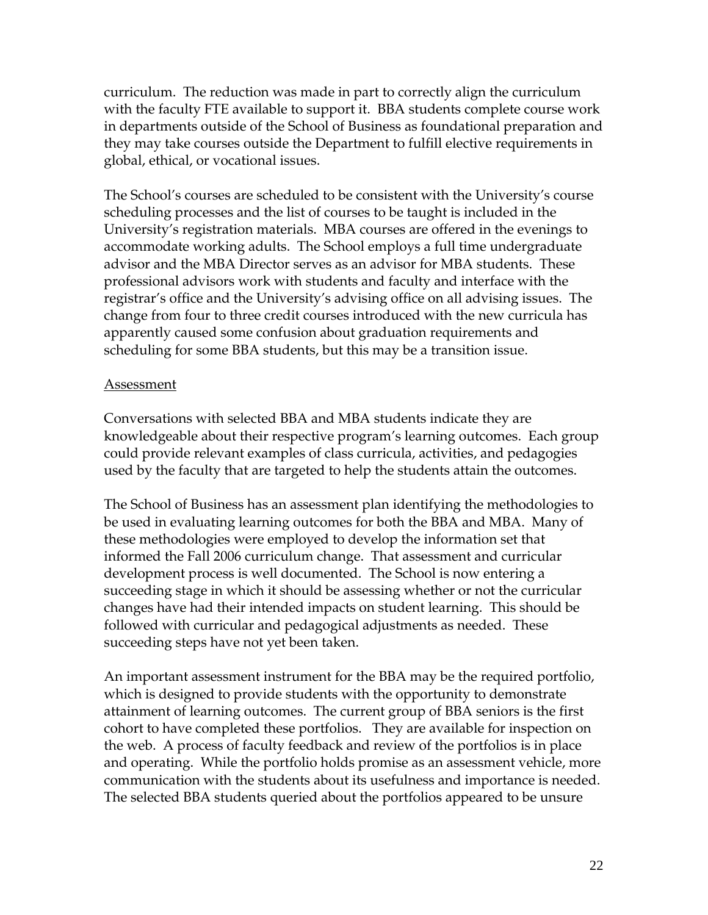curriculum. The reduction was made in part to correctly align the curriculum with the faculty FTE available to support it. BBA students complete course work in departments outside of the School of Business as foundational preparation and they may take courses outside the Department to fulfill elective requirements in global, ethical, or vocational issues.

The School's courses are scheduled to be consistent with the University's course scheduling processes and the list of courses to be taught is included in the University's registration materials. MBA courses are offered in the evenings to accommodate working adults. The School employs a full time undergraduate advisor and the MBA Director serves as an advisor for MBA students. These professional advisors work with students and faculty and interface with the registrar's office and the University's advising office on all advising issues. The change from four to three credit courses introduced with the new curricula has apparently caused some confusion about graduation requirements and scheduling for some BBA students, but this may be a transition issue.

#### Assessment

Conversations with selected BBA and MBA students indicate they are knowledgeable about their respective program's learning outcomes. Each group could provide relevant examples of class curricula, activities, and pedagogies used by the faculty that are targeted to help the students attain the outcomes.

The School of Business has an assessment plan identifying the methodologies to be used in evaluating learning outcomes for both the BBA and MBA. Many of these methodologies were employed to develop the information set that informed the Fall 2006 curriculum change. That assessment and curricular development process is well documented. The School is now entering a succeeding stage in which it should be assessing whether or not the curricular changes have had their intended impacts on student learning. This should be followed with curricular and pedagogical adjustments as needed. These succeeding steps have not yet been taken.

An important assessment instrument for the BBA may be the required portfolio, which is designed to provide students with the opportunity to demonstrate attainment of learning outcomes. The current group of BBA seniors is the first cohort to have completed these portfolios. They are available for inspection on the web. A process of faculty feedback and review of the portfolios is in place and operating. While the portfolio holds promise as an assessment vehicle, more communication with the students about its usefulness and importance is needed. The selected BBA students queried about the portfolios appeared to be unsure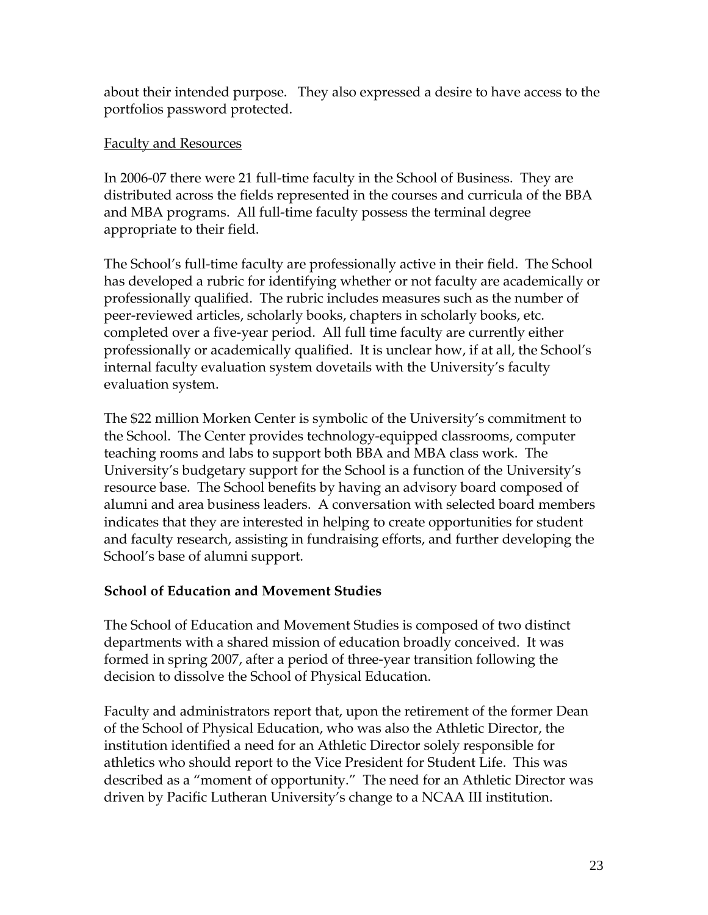about their intended purpose. They also expressed a desire to have access to the portfolios password protected.

### Faculty and Resources

In 2006-07 there were 21 full-time faculty in the School of Business. They are distributed across the fields represented in the courses and curricula of the BBA and MBA programs. All full-time faculty possess the terminal degree appropriate to their field.

The School's full-time faculty are professionally active in their field. The School has developed a rubric for identifying whether or not faculty are academically or professionally qualified. The rubric includes measures such as the number of peer-reviewed articles, scholarly books, chapters in scholarly books, etc. completed over a five-year period. All full time faculty are currently either professionally or academically qualified. It is unclear how, if at all, the School's internal faculty evaluation system dovetails with the University's faculty evaluation system.

The \$22 million Morken Center is symbolic of the University's commitment to the School. The Center provides technology-equipped classrooms, computer teaching rooms and labs to support both BBA and MBA class work. The University's budgetary support for the School is a function of the University's resource base. The School benefits by having an advisory board composed of alumni and area business leaders. A conversation with selected board members indicates that they are interested in helping to create opportunities for student and faculty research, assisting in fundraising efforts, and further developing the School's base of alumni support.

# **School of Education and Movement Studies**

The School of Education and Movement Studies is composed of two distinct departments with a shared mission of education broadly conceived. It was formed in spring 2007, after a period of three-year transition following the decision to dissolve the School of Physical Education.

Faculty and administrators report that, upon the retirement of the former Dean of the School of Physical Education, who was also the Athletic Director, the institution identified a need for an Athletic Director solely responsible for athletics who should report to the Vice President for Student Life. This was described as a "moment of opportunity." The need for an Athletic Director was driven by Pacific Lutheran University's change to a NCAA III institution.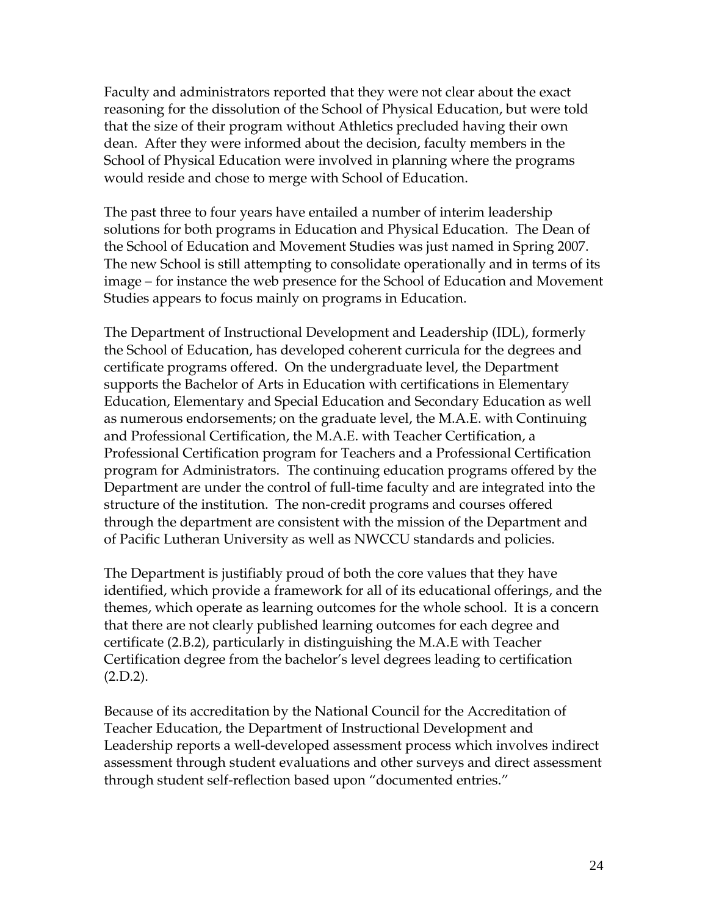Faculty and administrators reported that they were not clear about the exact reasoning for the dissolution of the School of Physical Education, but were told that the size of their program without Athletics precluded having their own dean. After they were informed about the decision, faculty members in the School of Physical Education were involved in planning where the programs would reside and chose to merge with School of Education.

The past three to four years have entailed a number of interim leadership solutions for both programs in Education and Physical Education. The Dean of the School of Education and Movement Studies was just named in Spring 2007. The new School is still attempting to consolidate operationally and in terms of its image – for instance the web presence for the School of Education and Movement Studies appears to focus mainly on programs in Education.

The Department of Instructional Development and Leadership (IDL), formerly the School of Education, has developed coherent curricula for the degrees and certificate programs offered. On the undergraduate level, the Department supports the Bachelor of Arts in Education with certifications in Elementary Education, Elementary and Special Education and Secondary Education as well as numerous endorsements; on the graduate level, the M.A.E. with Continuing and Professional Certification, the M.A.E. with Teacher Certification, a Professional Certification program for Teachers and a Professional Certification program for Administrators. The continuing education programs offered by the Department are under the control of full-time faculty and are integrated into the structure of the institution. The non-credit programs and courses offered through the department are consistent with the mission of the Department and of Pacific Lutheran University as well as NWCCU standards and policies.

The Department is justifiably proud of both the core values that they have identified, which provide a framework for all of its educational offerings, and the themes, which operate as learning outcomes for the whole school. It is a concern that there are not clearly published learning outcomes for each degree and certificate (2.B.2), particularly in distinguishing the M.A.E with Teacher Certification degree from the bachelor's level degrees leading to certification  $(2.D.2).$ 

Because of its accreditation by the National Council for the Accreditation of Teacher Education, the Department of Instructional Development and Leadership reports a well-developed assessment process which involves indirect assessment through student evaluations and other surveys and direct assessment through student self-reflection based upon "documented entries."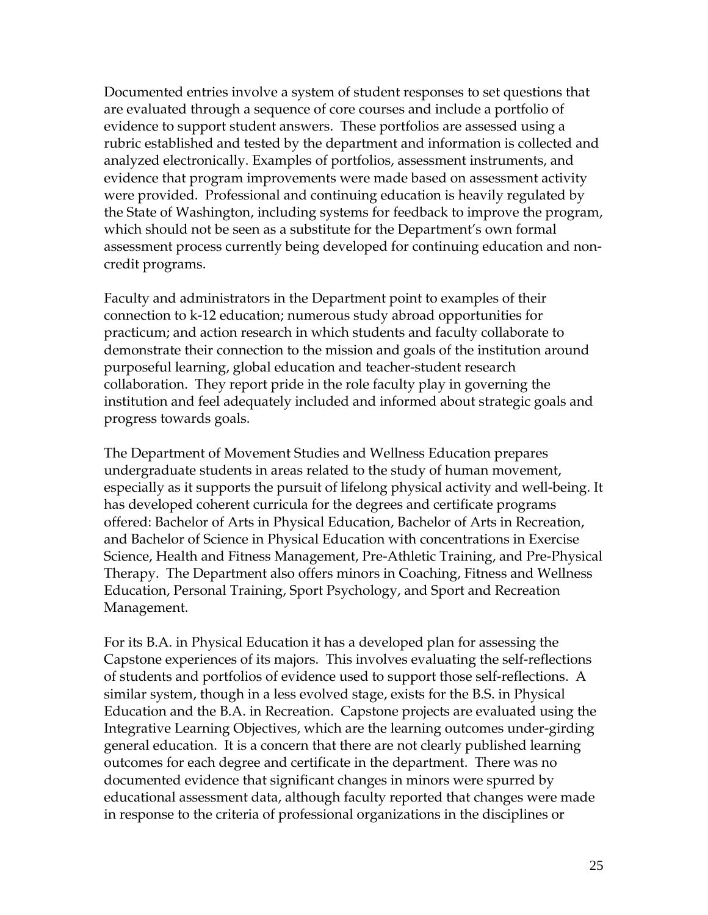Documented entries involve a system of student responses to set questions that are evaluated through a sequence of core courses and include a portfolio of evidence to support student answers. These portfolios are assessed using a rubric established and tested by the department and information is collected and analyzed electronically. Examples of portfolios, assessment instruments, and evidence that program improvements were made based on assessment activity were provided. Professional and continuing education is heavily regulated by the State of Washington, including systems for feedback to improve the program, which should not be seen as a substitute for the Department's own formal assessment process currently being developed for continuing education and noncredit programs.

Faculty and administrators in the Department point to examples of their connection to k-12 education; numerous study abroad opportunities for practicum; and action research in which students and faculty collaborate to demonstrate their connection to the mission and goals of the institution around purposeful learning, global education and teacher-student research collaboration. They report pride in the role faculty play in governing the institution and feel adequately included and informed about strategic goals and progress towards goals.

The Department of Movement Studies and Wellness Education prepares undergraduate students in areas related to the study of human movement, especially as it supports the pursuit of lifelong physical activity and well-being. It has developed coherent curricula for the degrees and certificate programs offered: Bachelor of Arts in Physical Education, Bachelor of Arts in Recreation, and Bachelor of Science in Physical Education with concentrations in Exercise Science, Health and Fitness Management, Pre-Athletic Training, and Pre-Physical Therapy. The Department also offers minors in Coaching, Fitness and Wellness Education, Personal Training, Sport Psychology, and Sport and Recreation Management.

For its B.A. in Physical Education it has a developed plan for assessing the Capstone experiences of its majors. This involves evaluating the self-reflections of students and portfolios of evidence used to support those self-reflections. A similar system, though in a less evolved stage, exists for the B.S. in Physical Education and the B.A. in Recreation. Capstone projects are evaluated using the Integrative Learning Objectives, which are the learning outcomes under-girding general education. It is a concern that there are not clearly published learning outcomes for each degree and certificate in the department. There was no documented evidence that significant changes in minors were spurred by educational assessment data, although faculty reported that changes were made in response to the criteria of professional organizations in the disciplines or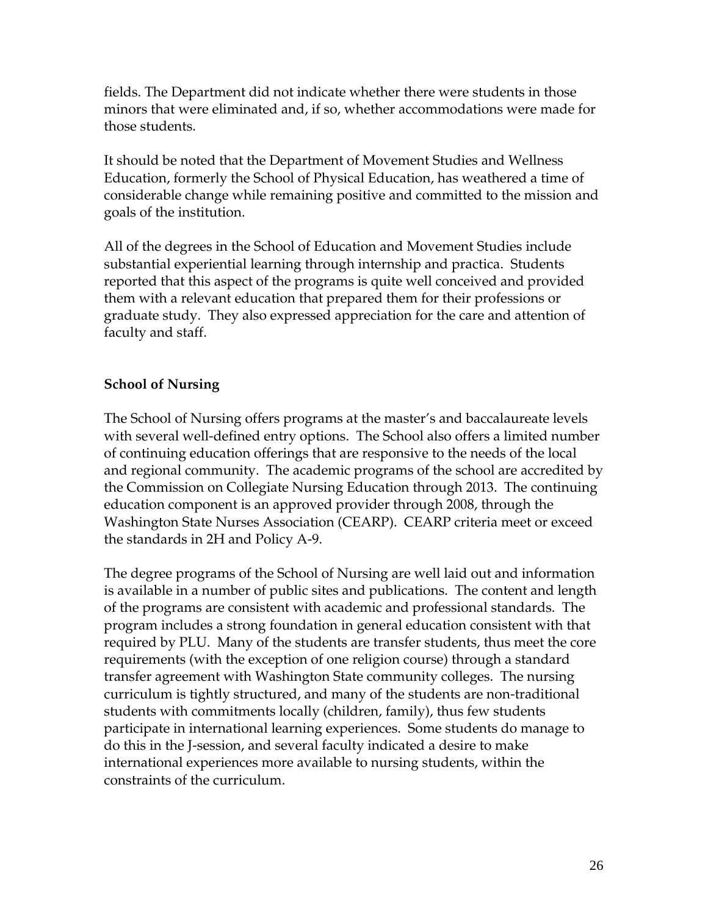fields. The Department did not indicate whether there were students in those minors that were eliminated and, if so, whether accommodations were made for those students.

It should be noted that the Department of Movement Studies and Wellness Education, formerly the School of Physical Education, has weathered a time of considerable change while remaining positive and committed to the mission and goals of the institution.

All of the degrees in the School of Education and Movement Studies include substantial experiential learning through internship and practica. Students reported that this aspect of the programs is quite well conceived and provided them with a relevant education that prepared them for their professions or graduate study. They also expressed appreciation for the care and attention of faculty and staff.

# **School of Nursing**

The School of Nursing offers programs at the master's and baccalaureate levels with several well-defined entry options. The School also offers a limited number of continuing education offerings that are responsive to the needs of the local and regional community. The academic programs of the school are accredited by the Commission on Collegiate Nursing Education through 2013. The continuing education component is an approved provider through 2008, through the Washington State Nurses Association (CEARP). CEARP criteria meet or exceed the standards in 2H and Policy A-9.

The degree programs of the School of Nursing are well laid out and information is available in a number of public sites and publications. The content and length of the programs are consistent with academic and professional standards. The program includes a strong foundation in general education consistent with that required by PLU. Many of the students are transfer students, thus meet the core requirements (with the exception of one religion course) through a standard transfer agreement with Washington State community colleges. The nursing curriculum is tightly structured, and many of the students are non-traditional students with commitments locally (children, family), thus few students participate in international learning experiences. Some students do manage to do this in the J-session, and several faculty indicated a desire to make international experiences more available to nursing students, within the constraints of the curriculum.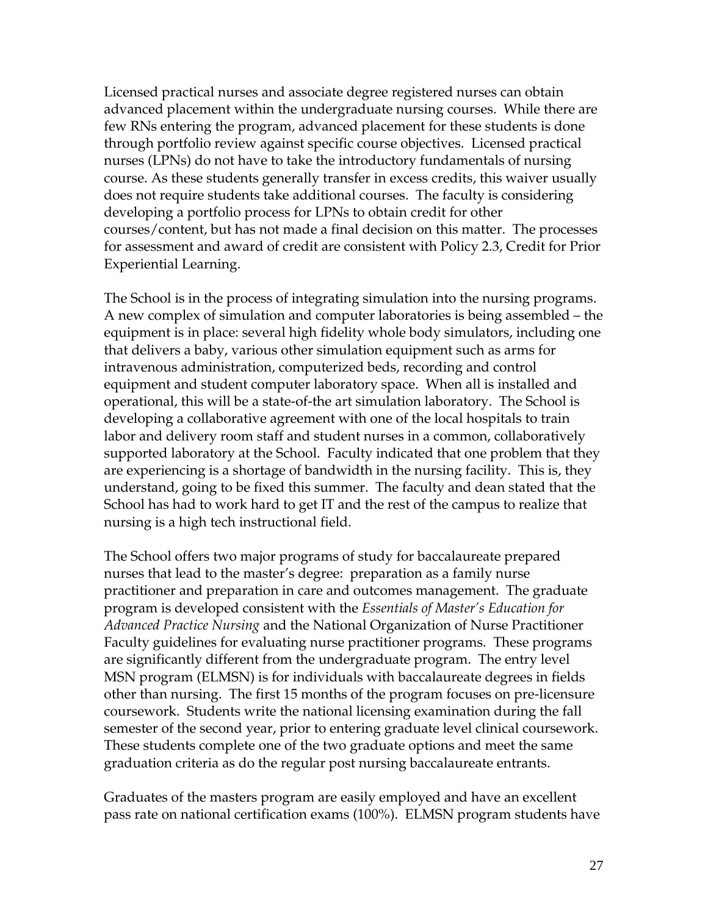Licensed practical nurses and associate degree registered nurses can obtain advanced placement within the undergraduate nursing courses. While there are few RNs entering the program, advanced placement for these students is done through portfolio review against specific course objectives. Licensed practical nurses (LPNs) do not have to take the introductory fundamentals of nursing course. As these students generally transfer in excess credits, this waiver usually does not require students take additional courses. The faculty is considering developing a portfolio process for LPNs to obtain credit for other courses/content, but has not made a final decision on this matter. The processes for assessment and award of credit are consistent with Policy 2.3, Credit for Prior Experiential Learning.

The School is in the process of integrating simulation into the nursing programs. A new complex of simulation and computer laboratories is being assembled – the equipment is in place: several high fidelity whole body simulators, including one that delivers a baby, various other simulation equipment such as arms for intravenous administration, computerized beds, recording and control equipment and student computer laboratory space. When all is installed and operational, this will be a state-of-the art simulation laboratory. The School is developing a collaborative agreement with one of the local hospitals to train labor and delivery room staff and student nurses in a common, collaboratively supported laboratory at the School. Faculty indicated that one problem that they are experiencing is a shortage of bandwidth in the nursing facility. This is, they understand, going to be fixed this summer. The faculty and dean stated that the School has had to work hard to get IT and the rest of the campus to realize that nursing is a high tech instructional field.

The School offers two major programs of study for baccalaureate prepared nurses that lead to the master's degree: preparation as a family nurse practitioner and preparation in care and outcomes management. The graduate program is developed consistent with the *Essentials of Master's Education for Advanced Practice Nursing* and the National Organization of Nurse Practitioner Faculty guidelines for evaluating nurse practitioner programs. These programs are significantly different from the undergraduate program. The entry level MSN program (ELMSN) is for individuals with baccalaureate degrees in fields other than nursing. The first 15 months of the program focuses on pre-licensure coursework. Students write the national licensing examination during the fall semester of the second year, prior to entering graduate level clinical coursework. These students complete one of the two graduate options and meet the same graduation criteria as do the regular post nursing baccalaureate entrants.

Graduates of the masters program are easily employed and have an excellent pass rate on national certification exams (100%). ELMSN program students have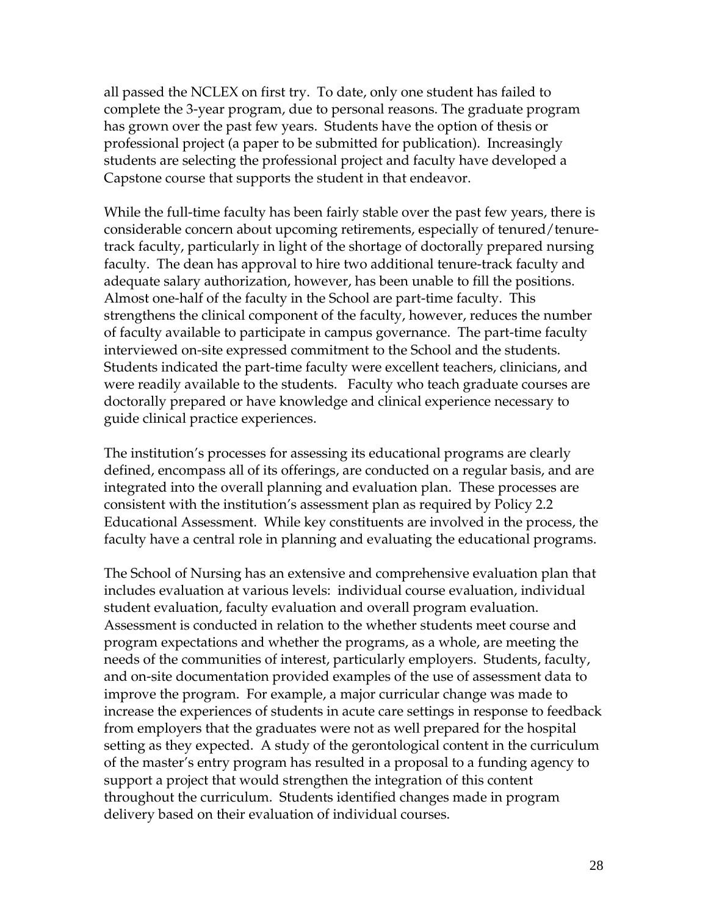all passed the NCLEX on first try. To date, only one student has failed to complete the 3-year program, due to personal reasons. The graduate program has grown over the past few years. Students have the option of thesis or professional project (a paper to be submitted for publication). Increasingly students are selecting the professional project and faculty have developed a Capstone course that supports the student in that endeavor.

While the full-time faculty has been fairly stable over the past few years, there is considerable concern about upcoming retirements, especially of tenured/tenuretrack faculty, particularly in light of the shortage of doctorally prepared nursing faculty. The dean has approval to hire two additional tenure-track faculty and adequate salary authorization, however, has been unable to fill the positions. Almost one-half of the faculty in the School are part-time faculty. This strengthens the clinical component of the faculty, however, reduces the number of faculty available to participate in campus governance. The part-time faculty interviewed on-site expressed commitment to the School and the students. Students indicated the part-time faculty were excellent teachers, clinicians, and were readily available to the students. Faculty who teach graduate courses are doctorally prepared or have knowledge and clinical experience necessary to guide clinical practice experiences.

The institution's processes for assessing its educational programs are clearly defined, encompass all of its offerings, are conducted on a regular basis, and are integrated into the overall planning and evaluation plan. These processes are consistent with the institution's assessment plan as required by Policy 2.2 Educational Assessment. While key constituents are involved in the process, the faculty have a central role in planning and evaluating the educational programs.

The School of Nursing has an extensive and comprehensive evaluation plan that includes evaluation at various levels: individual course evaluation, individual student evaluation, faculty evaluation and overall program evaluation. Assessment is conducted in relation to the whether students meet course and program expectations and whether the programs, as a whole, are meeting the needs of the communities of interest, particularly employers. Students, faculty, and on-site documentation provided examples of the use of assessment data to improve the program. For example, a major curricular change was made to increase the experiences of students in acute care settings in response to feedback from employers that the graduates were not as well prepared for the hospital setting as they expected. A study of the gerontological content in the curriculum of the master's entry program has resulted in a proposal to a funding agency to support a project that would strengthen the integration of this content throughout the curriculum. Students identified changes made in program delivery based on their evaluation of individual courses.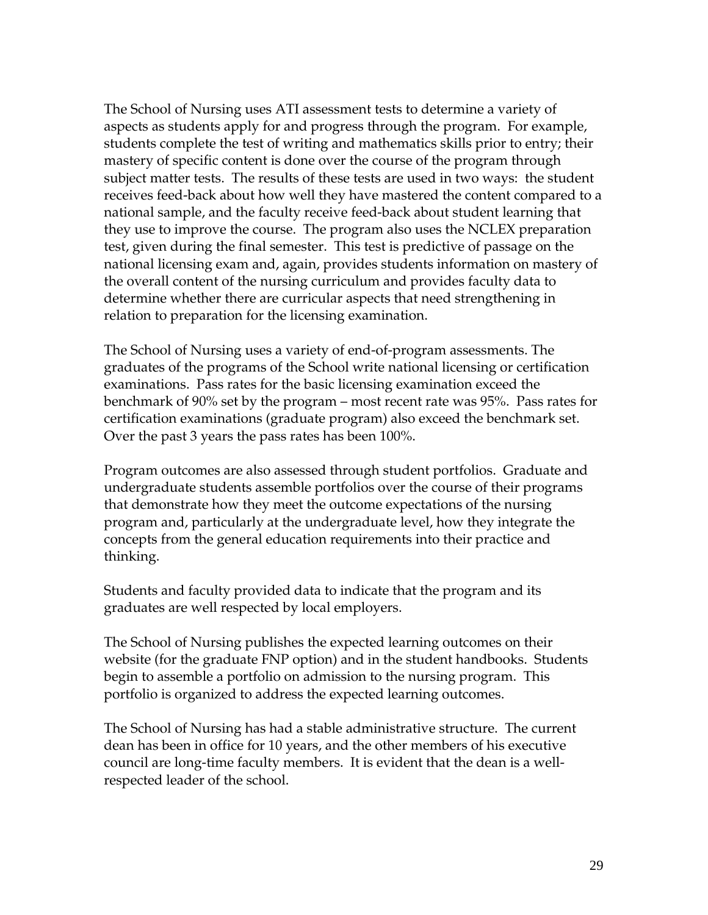The School of Nursing uses ATI assessment tests to determine a variety of aspects as students apply for and progress through the program. For example, students complete the test of writing and mathematics skills prior to entry; their mastery of specific content is done over the course of the program through subject matter tests. The results of these tests are used in two ways: the student receives feed-back about how well they have mastered the content compared to a national sample, and the faculty receive feed-back about student learning that they use to improve the course. The program also uses the NCLEX preparation test, given during the final semester. This test is predictive of passage on the national licensing exam and, again, provides students information on mastery of the overall content of the nursing curriculum and provides faculty data to determine whether there are curricular aspects that need strengthening in relation to preparation for the licensing examination.

The School of Nursing uses a variety of end-of-program assessments. The graduates of the programs of the School write national licensing or certification examinations. Pass rates for the basic licensing examination exceed the benchmark of 90% set by the program – most recent rate was 95%. Pass rates for certification examinations (graduate program) also exceed the benchmark set. Over the past 3 years the pass rates has been 100%.

Program outcomes are also assessed through student portfolios. Graduate and undergraduate students assemble portfolios over the course of their programs that demonstrate how they meet the outcome expectations of the nursing program and, particularly at the undergraduate level, how they integrate the concepts from the general education requirements into their practice and thinking.

Students and faculty provided data to indicate that the program and its graduates are well respected by local employers.

The School of Nursing publishes the expected learning outcomes on their website (for the graduate FNP option) and in the student handbooks. Students begin to assemble a portfolio on admission to the nursing program. This portfolio is organized to address the expected learning outcomes.

The School of Nursing has had a stable administrative structure. The current dean has been in office for 10 years, and the other members of his executive council are long-time faculty members. It is evident that the dean is a wellrespected leader of the school.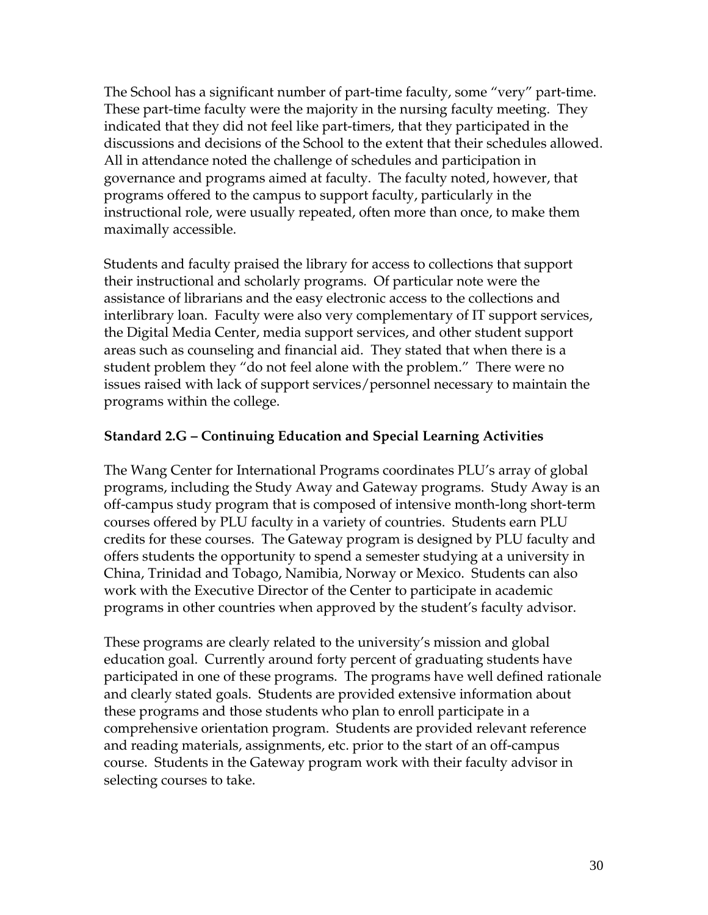The School has a significant number of part-time faculty, some "very" part-time. These part-time faculty were the majority in the nursing faculty meeting. They indicated that they did not feel like part-timers, that they participated in the discussions and decisions of the School to the extent that their schedules allowed. All in attendance noted the challenge of schedules and participation in governance and programs aimed at faculty. The faculty noted, however, that programs offered to the campus to support faculty, particularly in the instructional role, were usually repeated, often more than once, to make them maximally accessible.

Students and faculty praised the library for access to collections that support their instructional and scholarly programs. Of particular note were the assistance of librarians and the easy electronic access to the collections and interlibrary loan. Faculty were also very complementary of IT support services, the Digital Media Center, media support services, and other student support areas such as counseling and financial aid. They stated that when there is a student problem they "do not feel alone with the problem." There were no issues raised with lack of support services/personnel necessary to maintain the programs within the college.

# **Standard 2.G – Continuing Education and Special Learning Activities**

The Wang Center for International Programs coordinates PLU's array of global programs, including the Study Away and Gateway programs. Study Away is an off-campus study program that is composed of intensive month-long short-term courses offered by PLU faculty in a variety of countries. Students earn PLU credits for these courses. The Gateway program is designed by PLU faculty and offers students the opportunity to spend a semester studying at a university in China, Trinidad and Tobago, Namibia, Norway or Mexico. Students can also work with the Executive Director of the Center to participate in academic programs in other countries when approved by the student's faculty advisor.

These programs are clearly related to the university's mission and global education goal. Currently around forty percent of graduating students have participated in one of these programs. The programs have well defined rationale and clearly stated goals. Students are provided extensive information about these programs and those students who plan to enroll participate in a comprehensive orientation program. Students are provided relevant reference and reading materials, assignments, etc. prior to the start of an off-campus course. Students in the Gateway program work with their faculty advisor in selecting courses to take.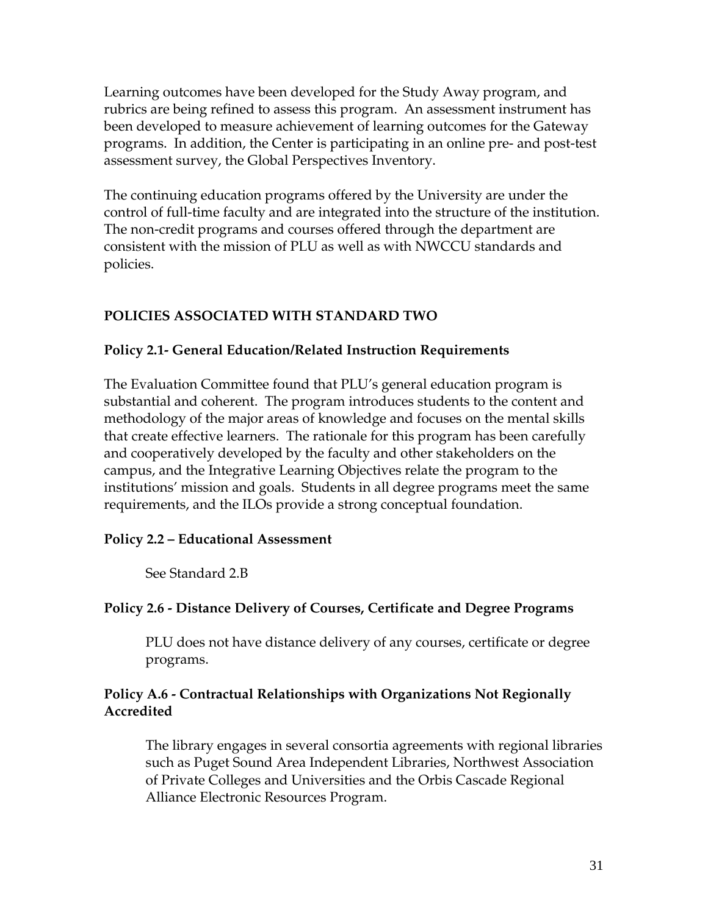Learning outcomes have been developed for the Study Away program, and rubrics are being refined to assess this program. An assessment instrument has been developed to measure achievement of learning outcomes for the Gateway programs. In addition, the Center is participating in an online pre- and post-test assessment survey, the Global Perspectives Inventory.

The continuing education programs offered by the University are under the control of full-time faculty and are integrated into the structure of the institution. The non-credit programs and courses offered through the department are consistent with the mission of PLU as well as with NWCCU standards and policies.

# **POLICIES ASSOCIATED WITH STANDARD TWO**

### **Policy 2.1- General Education/Related Instruction Requirements**

The Evaluation Committee found that PLU's general education program is substantial and coherent. The program introduces students to the content and methodology of the major areas of knowledge and focuses on the mental skills that create effective learners. The rationale for this program has been carefully and cooperatively developed by the faculty and other stakeholders on the campus, and the Integrative Learning Objectives relate the program to the institutions' mission and goals. Students in all degree programs meet the same requirements, and the ILOs provide a strong conceptual foundation.

#### **Policy 2.2 – Educational Assessment**

See Standard 2.B

### **Policy 2.6 - Distance Delivery of Courses, Certificate and Degree Programs**

 PLU does not have distance delivery of any courses, certificate or degree programs.

### **Policy A.6 - Contractual Relationships with Organizations Not Regionally Accredited**

The library engages in several consortia agreements with regional libraries such as Puget Sound Area Independent Libraries, Northwest Association of Private Colleges and Universities and the Orbis Cascade Regional Alliance Electronic Resources Program.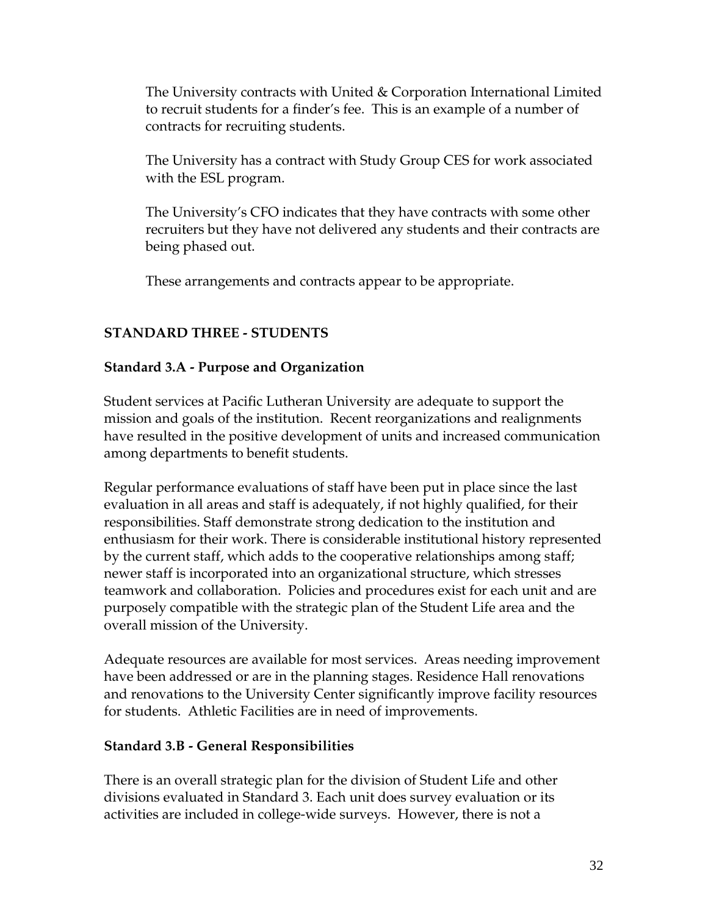The University contracts with United & Corporation International Limited to recruit students for a finder's fee. This is an example of a number of contracts for recruiting students.

The University has a contract with Study Group CES for work associated with the ESL program.

The University's CFO indicates that they have contracts with some other recruiters but they have not delivered any students and their contracts are being phased out.

These arrangements and contracts appear to be appropriate.

# **STANDARD THREE - STUDENTS**

### **Standard 3.A - Purpose and Organization**

Student services at Pacific Lutheran University are adequate to support the mission and goals of the institution. Recent reorganizations and realignments have resulted in the positive development of units and increased communication among departments to benefit students.

Regular performance evaluations of staff have been put in place since the last evaluation in all areas and staff is adequately, if not highly qualified, for their responsibilities. Staff demonstrate strong dedication to the institution and enthusiasm for their work. There is considerable institutional history represented by the current staff, which adds to the cooperative relationships among staff; newer staff is incorporated into an organizational structure, which stresses teamwork and collaboration. Policies and procedures exist for each unit and are purposely compatible with the strategic plan of the Student Life area and the overall mission of the University.

Adequate resources are available for most services. Areas needing improvement have been addressed or are in the planning stages. Residence Hall renovations and renovations to the University Center significantly improve facility resources for students. Athletic Facilities are in need of improvements.

### **Standard 3.B - General Responsibilities**

There is an overall strategic plan for the division of Student Life and other divisions evaluated in Standard 3. Each unit does survey evaluation or its activities are included in college-wide surveys. However, there is not a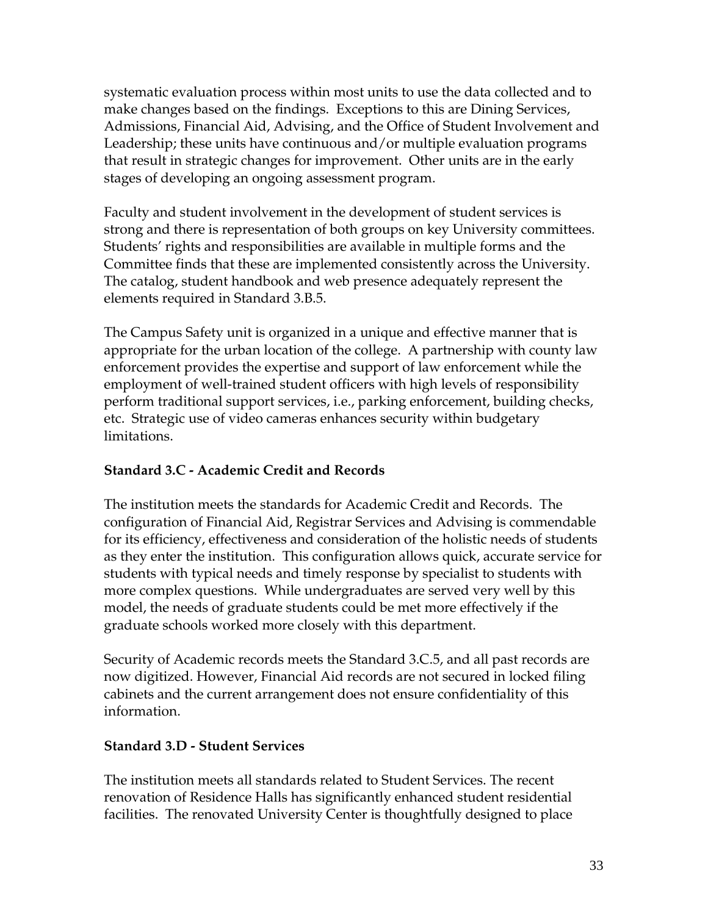systematic evaluation process within most units to use the data collected and to make changes based on the findings. Exceptions to this are Dining Services, Admissions, Financial Aid, Advising, and the Office of Student Involvement and Leadership; these units have continuous and/or multiple evaluation programs that result in strategic changes for improvement. Other units are in the early stages of developing an ongoing assessment program.

Faculty and student involvement in the development of student services is strong and there is representation of both groups on key University committees. Students' rights and responsibilities are available in multiple forms and the Committee finds that these are implemented consistently across the University. The catalog, student handbook and web presence adequately represent the elements required in Standard 3.B.5.

The Campus Safety unit is organized in a unique and effective manner that is appropriate for the urban location of the college. A partnership with county law enforcement provides the expertise and support of law enforcement while the employment of well-trained student officers with high levels of responsibility perform traditional support services, i.e., parking enforcement, building checks, etc. Strategic use of video cameras enhances security within budgetary limitations.

### **Standard 3.C - Academic Credit and Records**

The institution meets the standards for Academic Credit and Records. The configuration of Financial Aid, Registrar Services and Advising is commendable for its efficiency, effectiveness and consideration of the holistic needs of students as they enter the institution. This configuration allows quick, accurate service for students with typical needs and timely response by specialist to students with more complex questions. While undergraduates are served very well by this model, the needs of graduate students could be met more effectively if the graduate schools worked more closely with this department.

Security of Academic records meets the Standard 3.C.5, and all past records are now digitized. However, Financial Aid records are not secured in locked filing cabinets and the current arrangement does not ensure confidentiality of this information.

### **Standard 3.D - Student Services**

The institution meets all standards related to Student Services. The recent renovation of Residence Halls has significantly enhanced student residential facilities. The renovated University Center is thoughtfully designed to place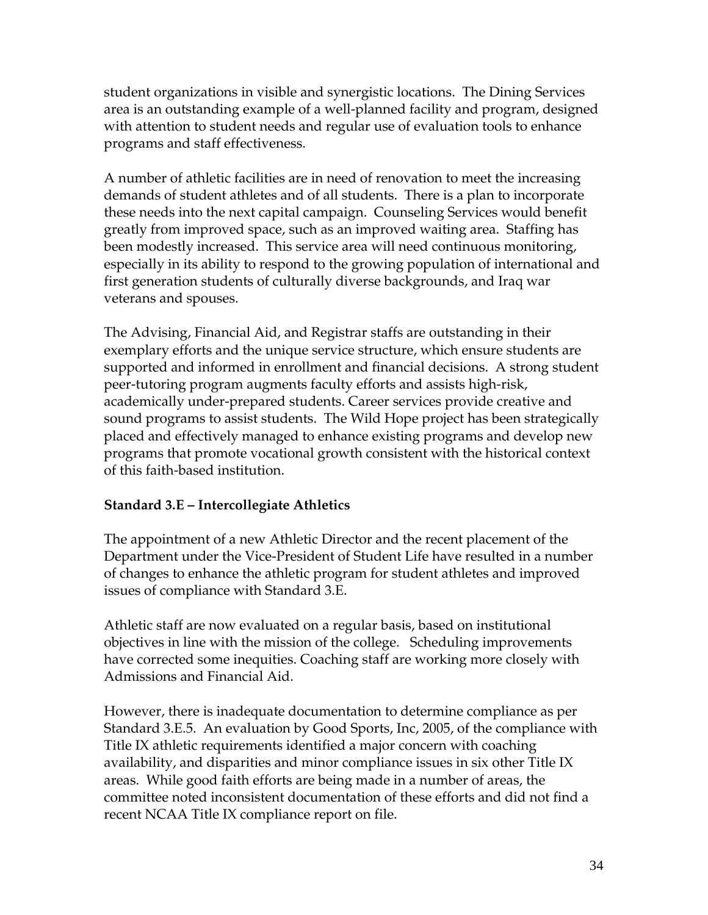student organizations in visible and synergistic locations. The Dining Services area is an outstanding example of a well-planned facility and program, designed with attention to student needs and regular use of evaluation tools to enhance programs and staff effectiveness.

A number of athletic facilities are in need of renovation to meet the increasing demands of student athletes and of all students. There is a plan to incorporate these needs into the next capital campaign. Counseling Services would benefit greatly from improved space, such as an improved waiting area. Staffing has been modestly increased. This service area will need continuous monitoring, especially in its ability to respond to the growing population of international and first generation students of culturally diverse backgrounds, and Iraq war veterans and spouses.

The Advising, Financial Aid, and Registrar staffs are outstanding in their exemplary efforts and the unique service structure, which ensure students are supported and informed in enrollment and financial decisions. A strong student peer-tutoring program augments faculty efforts and assists high-risk, academically under-prepared students. Career services provide creative and sound programs to assist students. The Wild Hope project has been strategically placed and effectively managed to enhance existing programs and develop new programs that promote vocational growth consistent with the historical context of this faith-based institution.

### **Standard 3.E – Intercollegiate Athletics**

The appointment of a new Athletic Director and the recent placement of the Department under the Vice-President of Student Life have resulted in a number of changes to enhance the athletic program for student athletes and improved issues of compliance with Standard 3.E.

Athletic staff are now evaluated on a regular basis, based on institutional objectives in line with the mission of the college. Scheduling improvements have corrected some inequities. Coaching staff are working more closely with Admissions and Financial Aid.

However, there is inadequate documentation to determine compliance as per Standard 3.E.5. An evaluation by Good Sports, Inc, 2005, of the compliance with Title IX athletic requirements identified a major concern with coaching availability, and disparities and minor compliance issues in six other Title IX areas. While good faith efforts are being made in a number of areas, the committee noted inconsistent documentation of these efforts and did not find a recent NCAA Title IX compliance report on file.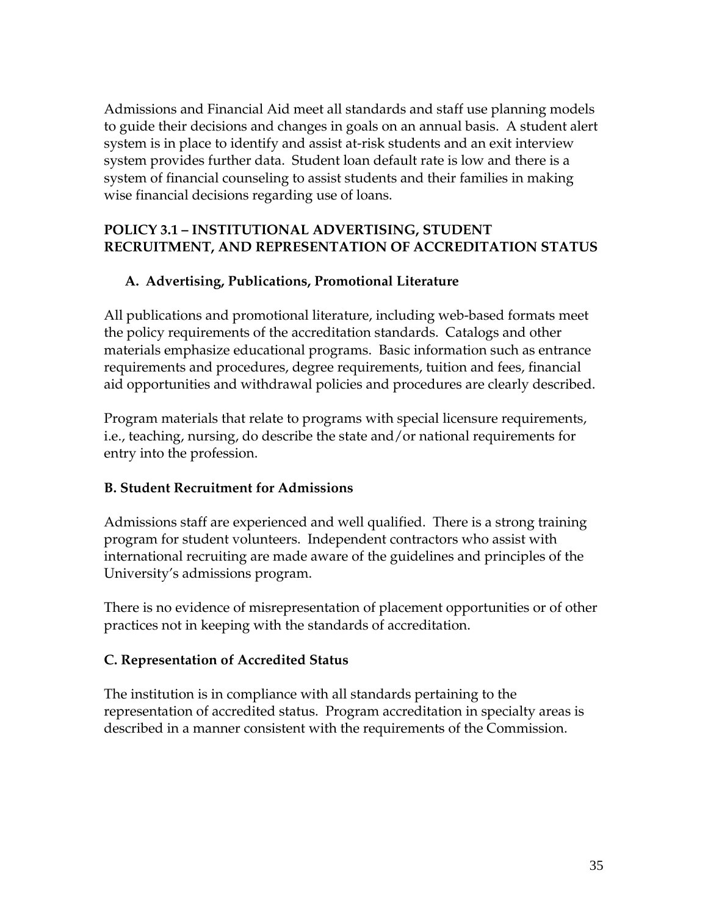Admissions and Financial Aid meet all standards and staff use planning models to guide their decisions and changes in goals on an annual basis. A student alert system is in place to identify and assist at-risk students and an exit interview system provides further data. Student loan default rate is low and there is a system of financial counseling to assist students and their families in making wise financial decisions regarding use of loans.

### **POLICY 3.1 – INSTITUTIONAL ADVERTISING, STUDENT RECRUITMENT, AND REPRESENTATION OF ACCREDITATION STATUS**

### **A. Advertising, Publications, Promotional Literature**

All publications and promotional literature, including web-based formats meet the policy requirements of the accreditation standards. Catalogs and other materials emphasize educational programs. Basic information such as entrance requirements and procedures, degree requirements, tuition and fees, financial aid opportunities and withdrawal policies and procedures are clearly described.

Program materials that relate to programs with special licensure requirements, i.e., teaching, nursing, do describe the state and/or national requirements for entry into the profession.

### **B. Student Recruitment for Admissions**

Admissions staff are experienced and well qualified. There is a strong training program for student volunteers. Independent contractors who assist with international recruiting are made aware of the guidelines and principles of the University's admissions program.

There is no evidence of misrepresentation of placement opportunities or of other practices not in keeping with the standards of accreditation.

### **C. Representation of Accredited Status**

The institution is in compliance with all standards pertaining to the representation of accredited status. Program accreditation in specialty areas is described in a manner consistent with the requirements of the Commission.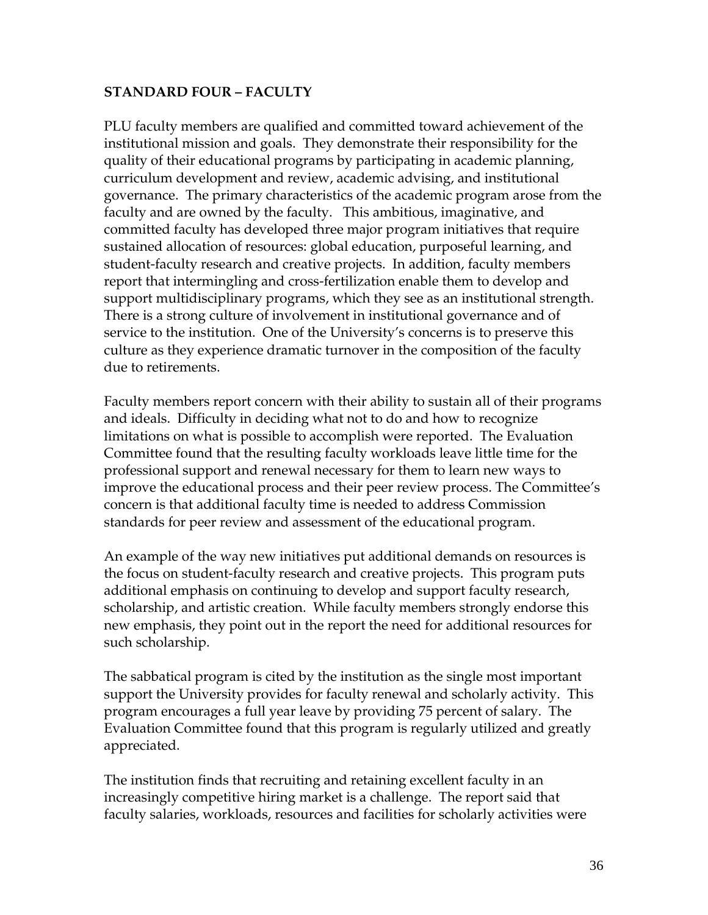#### **STANDARD FOUR – FACULTY**

PLU faculty members are qualified and committed toward achievement of the institutional mission and goals. They demonstrate their responsibility for the quality of their educational programs by participating in academic planning, curriculum development and review, academic advising, and institutional governance. The primary characteristics of the academic program arose from the faculty and are owned by the faculty. This ambitious, imaginative, and committed faculty has developed three major program initiatives that require sustained allocation of resources: global education, purposeful learning, and student-faculty research and creative projects. In addition, faculty members report that intermingling and cross-fertilization enable them to develop and support multidisciplinary programs, which they see as an institutional strength. There is a strong culture of involvement in institutional governance and of service to the institution. One of the University's concerns is to preserve this culture as they experience dramatic turnover in the composition of the faculty due to retirements.

Faculty members report concern with their ability to sustain all of their programs and ideals. Difficulty in deciding what not to do and how to recognize limitations on what is possible to accomplish were reported. The Evaluation Committee found that the resulting faculty workloads leave little time for the professional support and renewal necessary for them to learn new ways to improve the educational process and their peer review process. The Committee's concern is that additional faculty time is needed to address Commission standards for peer review and assessment of the educational program.

An example of the way new initiatives put additional demands on resources is the focus on student-faculty research and creative projects. This program puts additional emphasis on continuing to develop and support faculty research, scholarship, and artistic creation. While faculty members strongly endorse this new emphasis, they point out in the report the need for additional resources for such scholarship.

The sabbatical program is cited by the institution as the single most important support the University provides for faculty renewal and scholarly activity. This program encourages a full year leave by providing 75 percent of salary. The Evaluation Committee found that this program is regularly utilized and greatly appreciated.

The institution finds that recruiting and retaining excellent faculty in an increasingly competitive hiring market is a challenge. The report said that faculty salaries, workloads, resources and facilities for scholarly activities were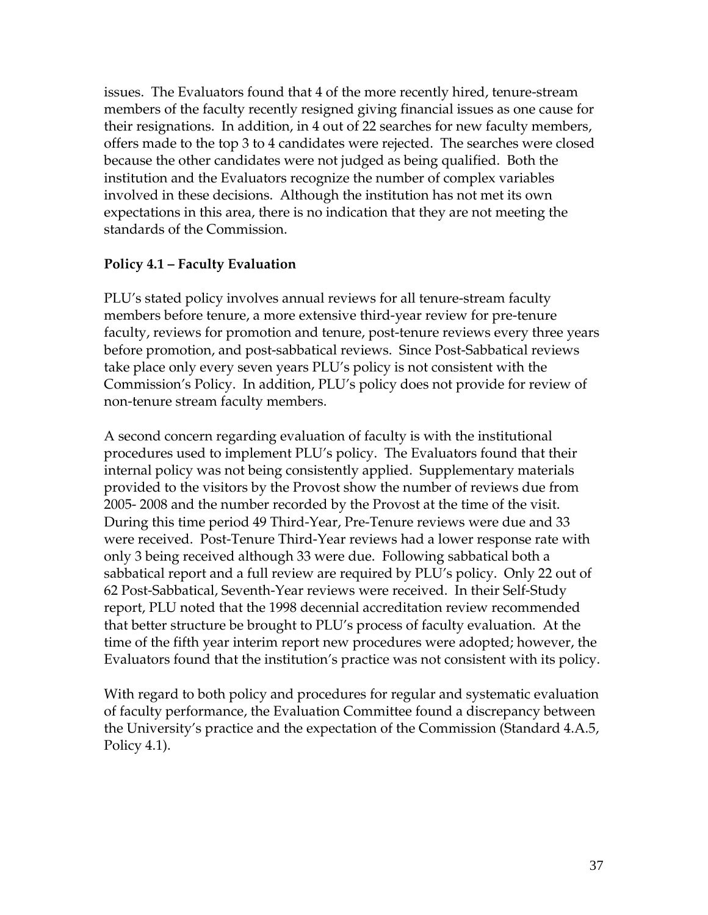issues. The Evaluators found that 4 of the more recently hired, tenure-stream members of the faculty recently resigned giving financial issues as one cause for their resignations. In addition, in 4 out of 22 searches for new faculty members, offers made to the top 3 to 4 candidates were rejected. The searches were closed because the other candidates were not judged as being qualified. Both the institution and the Evaluators recognize the number of complex variables involved in these decisions. Although the institution has not met its own expectations in this area, there is no indication that they are not meeting the standards of the Commission.

### **Policy 4.1 – Faculty Evaluation**

PLU's stated policy involves annual reviews for all tenure-stream faculty members before tenure, a more extensive third-year review for pre-tenure faculty, reviews for promotion and tenure, post-tenure reviews every three years before promotion, and post-sabbatical reviews. Since Post-Sabbatical reviews take place only every seven years PLU's policy is not consistent with the Commission's Policy. In addition, PLU's policy does not provide for review of non-tenure stream faculty members.

A second concern regarding evaluation of faculty is with the institutional procedures used to implement PLU's policy. The Evaluators found that their internal policy was not being consistently applied. Supplementary materials provided to the visitors by the Provost show the number of reviews due from 2005- 2008 and the number recorded by the Provost at the time of the visit. During this time period 49 Third-Year, Pre-Tenure reviews were due and 33 were received. Post-Tenure Third-Year reviews had a lower response rate with only 3 being received although 33 were due. Following sabbatical both a sabbatical report and a full review are required by PLU's policy. Only 22 out of 62 Post-Sabbatical, Seventh-Year reviews were received. In their Self-Study report, PLU noted that the 1998 decennial accreditation review recommended that better structure be brought to PLU's process of faculty evaluation. At the time of the fifth year interim report new procedures were adopted; however, the Evaluators found that the institution's practice was not consistent with its policy.

With regard to both policy and procedures for regular and systematic evaluation of faculty performance, the Evaluation Committee found a discrepancy between the University's practice and the expectation of the Commission (Standard 4.A.5, Policy 4.1).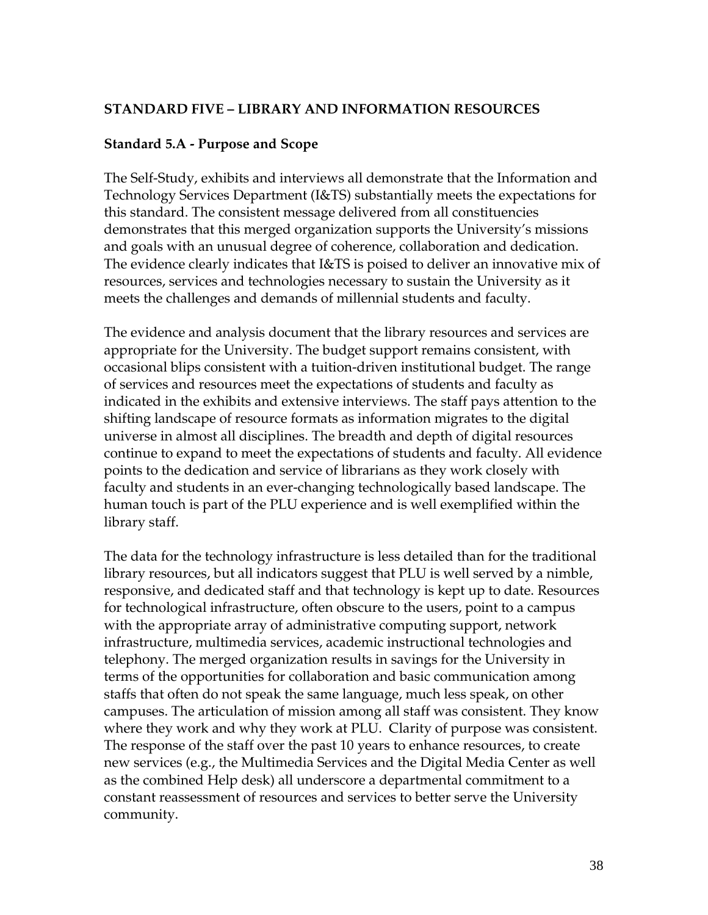#### **STANDARD FIVE – LIBRARY AND INFORMATION RESOURCES**

#### **Standard 5.A - Purpose and Scope**

The Self-Study, exhibits and interviews all demonstrate that the Information and Technology Services Department (I&TS) substantially meets the expectations for this standard. The consistent message delivered from all constituencies demonstrates that this merged organization supports the University's missions and goals with an unusual degree of coherence, collaboration and dedication. The evidence clearly indicates that I&TS is poised to deliver an innovative mix of resources, services and technologies necessary to sustain the University as it meets the challenges and demands of millennial students and faculty.

The evidence and analysis document that the library resources and services are appropriate for the University. The budget support remains consistent, with occasional blips consistent with a tuition-driven institutional budget. The range of services and resources meet the expectations of students and faculty as indicated in the exhibits and extensive interviews. The staff pays attention to the shifting landscape of resource formats as information migrates to the digital universe in almost all disciplines. The breadth and depth of digital resources continue to expand to meet the expectations of students and faculty. All evidence points to the dedication and service of librarians as they work closely with faculty and students in an ever-changing technologically based landscape. The human touch is part of the PLU experience and is well exemplified within the library staff.

The data for the technology infrastructure is less detailed than for the traditional library resources, but all indicators suggest that PLU is well served by a nimble, responsive, and dedicated staff and that technology is kept up to date. Resources for technological infrastructure, often obscure to the users, point to a campus with the appropriate array of administrative computing support, network infrastructure, multimedia services, academic instructional technologies and telephony. The merged organization results in savings for the University in terms of the opportunities for collaboration and basic communication among staffs that often do not speak the same language, much less speak, on other campuses. The articulation of mission among all staff was consistent. They know where they work and why they work at PLU. Clarity of purpose was consistent. The response of the staff over the past 10 years to enhance resources, to create new services (e.g., the Multimedia Services and the Digital Media Center as well as the combined Help desk) all underscore a departmental commitment to a constant reassessment of resources and services to better serve the University community.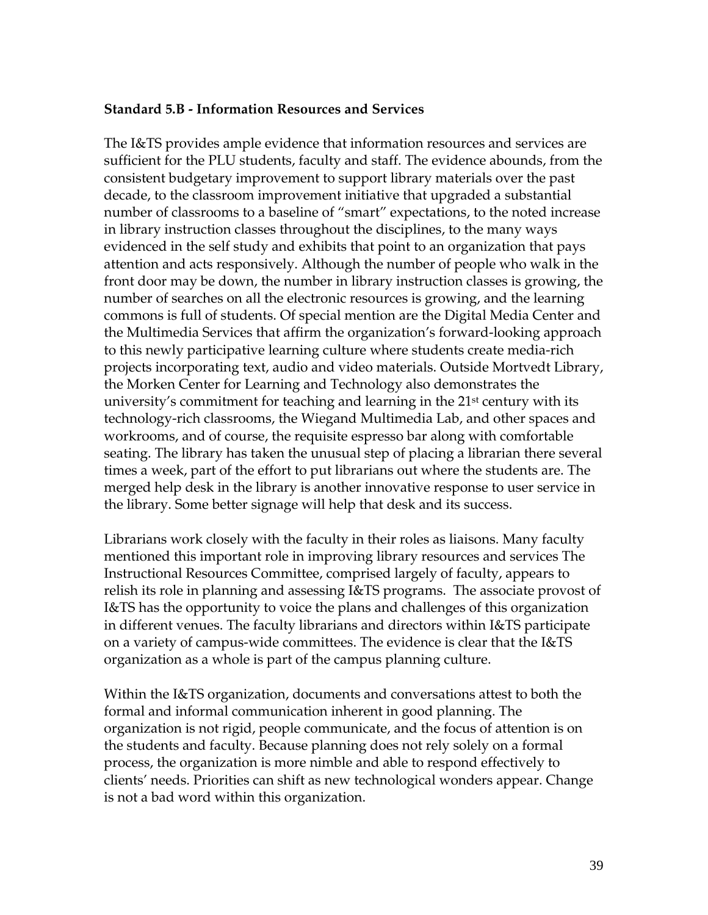#### **Standard 5.B - Information Resources and Services**

The I&TS provides ample evidence that information resources and services are sufficient for the PLU students, faculty and staff. The evidence abounds, from the consistent budgetary improvement to support library materials over the past decade, to the classroom improvement initiative that upgraded a substantial number of classrooms to a baseline of "smart" expectations, to the noted increase in library instruction classes throughout the disciplines, to the many ways evidenced in the self study and exhibits that point to an organization that pays attention and acts responsively. Although the number of people who walk in the front door may be down, the number in library instruction classes is growing, the number of searches on all the electronic resources is growing, and the learning commons is full of students. Of special mention are the Digital Media Center and the Multimedia Services that affirm the organization's forward-looking approach to this newly participative learning culture where students create media-rich projects incorporating text, audio and video materials. Outside Mortvedt Library, the Morken Center for Learning and Technology also demonstrates the university's commitment for teaching and learning in the 21<sup>st</sup> century with its technology-rich classrooms, the Wiegand Multimedia Lab, and other spaces and workrooms, and of course, the requisite espresso bar along with comfortable seating. The library has taken the unusual step of placing a librarian there several times a week, part of the effort to put librarians out where the students are. The merged help desk in the library is another innovative response to user service in the library. Some better signage will help that desk and its success.

Librarians work closely with the faculty in their roles as liaisons. Many faculty mentioned this important role in improving library resources and services The Instructional Resources Committee, comprised largely of faculty, appears to relish its role in planning and assessing I&TS programs. The associate provost of I&TS has the opportunity to voice the plans and challenges of this organization in different venues. The faculty librarians and directors within I&TS participate on a variety of campus-wide committees. The evidence is clear that the I&TS organization as a whole is part of the campus planning culture.

Within the I&TS organization, documents and conversations attest to both the formal and informal communication inherent in good planning. The organization is not rigid, people communicate, and the focus of attention is on the students and faculty. Because planning does not rely solely on a formal process, the organization is more nimble and able to respond effectively to clients' needs. Priorities can shift as new technological wonders appear. Change is not a bad word within this organization.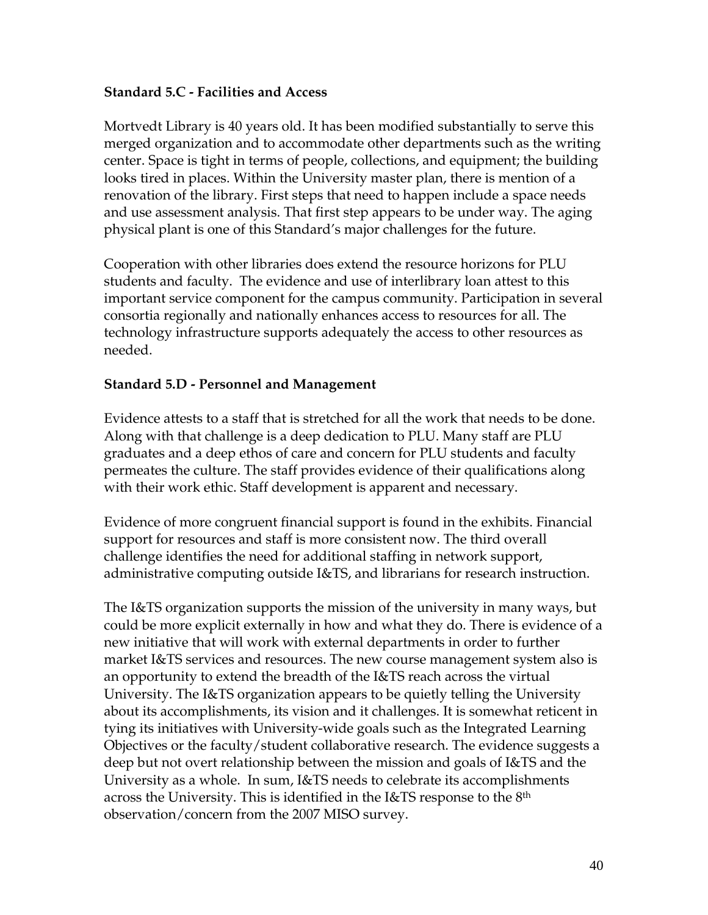#### **Standard 5.C - Facilities and Access**

Mortvedt Library is 40 years old. It has been modified substantially to serve this merged organization and to accommodate other departments such as the writing center. Space is tight in terms of people, collections, and equipment; the building looks tired in places. Within the University master plan, there is mention of a renovation of the library. First steps that need to happen include a space needs and use assessment analysis. That first step appears to be under way. The aging physical plant is one of this Standard's major challenges for the future.

Cooperation with other libraries does extend the resource horizons for PLU students and faculty. The evidence and use of interlibrary loan attest to this important service component for the campus community. Participation in several consortia regionally and nationally enhances access to resources for all. The technology infrastructure supports adequately the access to other resources as needed.

#### **Standard 5.D - Personnel and Management**

Evidence attests to a staff that is stretched for all the work that needs to be done. Along with that challenge is a deep dedication to PLU. Many staff are PLU graduates and a deep ethos of care and concern for PLU students and faculty permeates the culture. The staff provides evidence of their qualifications along with their work ethic. Staff development is apparent and necessary.

Evidence of more congruent financial support is found in the exhibits. Financial support for resources and staff is more consistent now. The third overall challenge identifies the need for additional staffing in network support, administrative computing outside I&TS, and librarians for research instruction.

The I&TS organization supports the mission of the university in many ways, but could be more explicit externally in how and what they do. There is evidence of a new initiative that will work with external departments in order to further market I&TS services and resources. The new course management system also is an opportunity to extend the breadth of the I&TS reach across the virtual University. The I&TS organization appears to be quietly telling the University about its accomplishments, its vision and it challenges. It is somewhat reticent in tying its initiatives with University-wide goals such as the Integrated Learning Objectives or the faculty/student collaborative research. The evidence suggests a deep but not overt relationship between the mission and goals of I&TS and the University as a whole. In sum, I&TS needs to celebrate its accomplishments across the University. This is identified in the  $I\&TS$  response to the  $8<sup>th</sup>$ observation/concern from the 2007 MISO survey.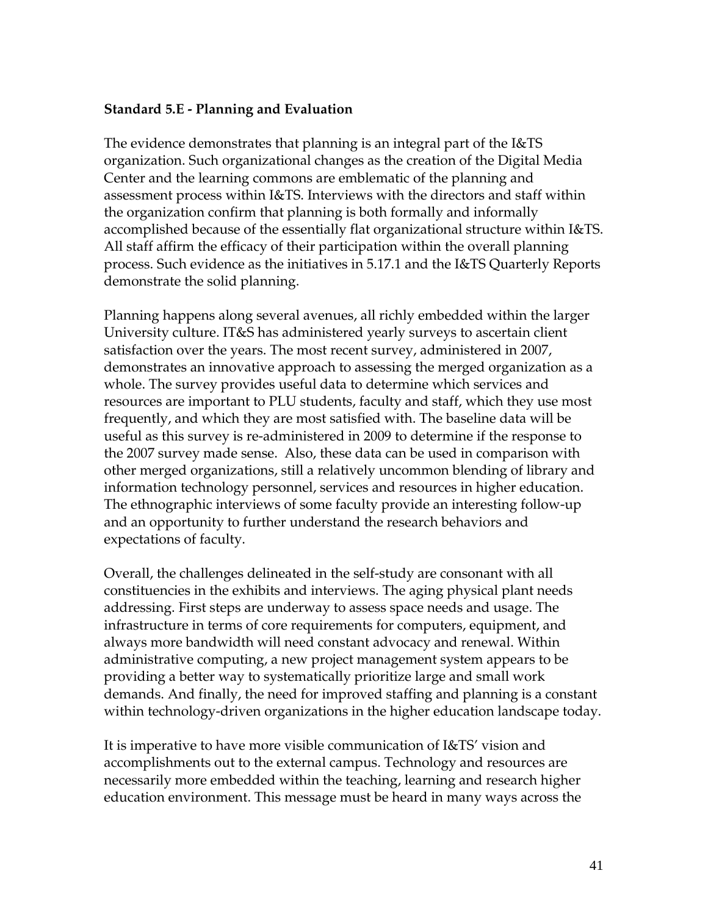#### **Standard 5.E - Planning and Evaluation**

The evidence demonstrates that planning is an integral part of the I&TS organization. Such organizational changes as the creation of the Digital Media Center and the learning commons are emblematic of the planning and assessment process within I&TS. Interviews with the directors and staff within the organization confirm that planning is both formally and informally accomplished because of the essentially flat organizational structure within I&TS. All staff affirm the efficacy of their participation within the overall planning process. Such evidence as the initiatives in 5.17.1 and the I&TS Quarterly Reports demonstrate the solid planning.

Planning happens along several avenues, all richly embedded within the larger University culture. IT&S has administered yearly surveys to ascertain client satisfaction over the years. The most recent survey, administered in 2007, demonstrates an innovative approach to assessing the merged organization as a whole. The survey provides useful data to determine which services and resources are important to PLU students, faculty and staff, which they use most frequently, and which they are most satisfied with. The baseline data will be useful as this survey is re-administered in 2009 to determine if the response to the 2007 survey made sense. Also, these data can be used in comparison with other merged organizations, still a relatively uncommon blending of library and information technology personnel, services and resources in higher education. The ethnographic interviews of some faculty provide an interesting follow-up and an opportunity to further understand the research behaviors and expectations of faculty.

Overall, the challenges delineated in the self-study are consonant with all constituencies in the exhibits and interviews. The aging physical plant needs addressing. First steps are underway to assess space needs and usage. The infrastructure in terms of core requirements for computers, equipment, and always more bandwidth will need constant advocacy and renewal. Within administrative computing, a new project management system appears to be providing a better way to systematically prioritize large and small work demands. And finally, the need for improved staffing and planning is a constant within technology-driven organizations in the higher education landscape today.

It is imperative to have more visible communication of I&TS' vision and accomplishments out to the external campus. Technology and resources are necessarily more embedded within the teaching, learning and research higher education environment. This message must be heard in many ways across the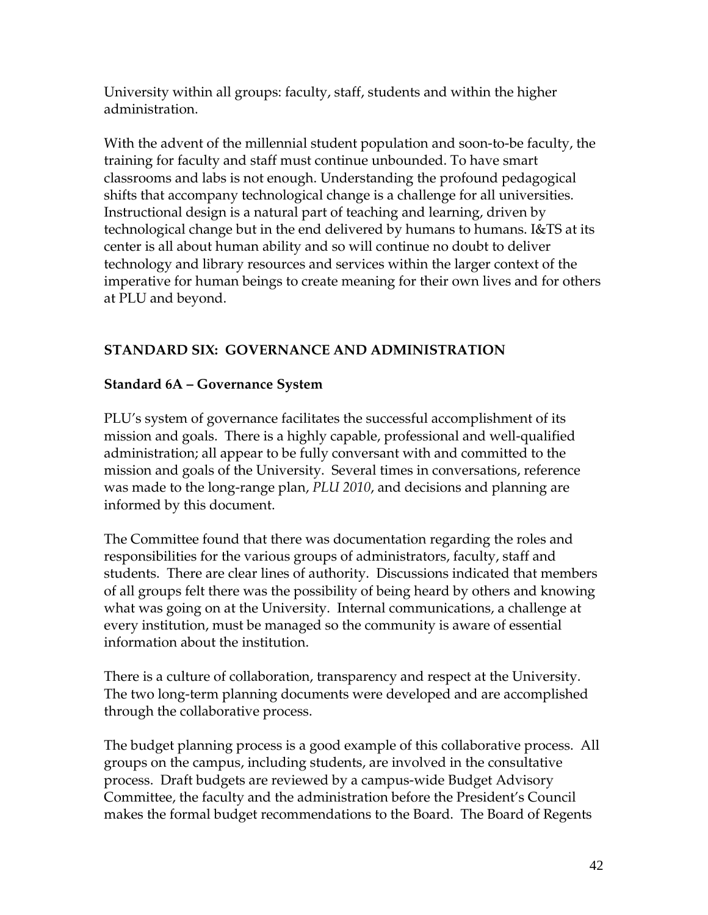University within all groups: faculty, staff, students and within the higher administration.

With the advent of the millennial student population and soon-to-be faculty, the training for faculty and staff must continue unbounded. To have smart classrooms and labs is not enough. Understanding the profound pedagogical shifts that accompany technological change is a challenge for all universities. Instructional design is a natural part of teaching and learning, driven by technological change but in the end delivered by humans to humans. I&TS at its center is all about human ability and so will continue no doubt to deliver technology and library resources and services within the larger context of the imperative for human beings to create meaning for their own lives and for others at PLU and beyond.

# **STANDARD SIX: GOVERNANCE AND ADMINISTRATION**

# **Standard 6A – Governance System**

PLU's system of governance facilitates the successful accomplishment of its mission and goals. There is a highly capable, professional and well-qualified administration; all appear to be fully conversant with and committed to the mission and goals of the University. Several times in conversations, reference was made to the long-range plan, *PLU 2010*, and decisions and planning are informed by this document.

The Committee found that there was documentation regarding the roles and responsibilities for the various groups of administrators, faculty, staff and students. There are clear lines of authority. Discussions indicated that members of all groups felt there was the possibility of being heard by others and knowing what was going on at the University. Internal communications, a challenge at every institution, must be managed so the community is aware of essential information about the institution.

There is a culture of collaboration, transparency and respect at the University. The two long-term planning documents were developed and are accomplished through the collaborative process.

The budget planning process is a good example of this collaborative process. All groups on the campus, including students, are involved in the consultative process. Draft budgets are reviewed by a campus-wide Budget Advisory Committee, the faculty and the administration before the President's Council makes the formal budget recommendations to the Board. The Board of Regents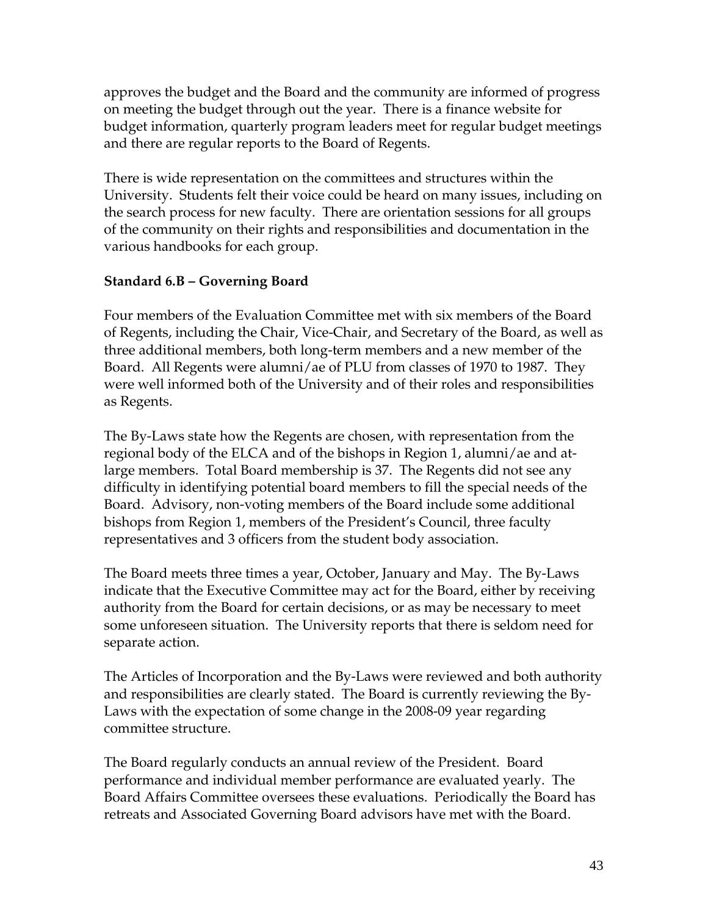approves the budget and the Board and the community are informed of progress on meeting the budget through out the year. There is a finance website for budget information, quarterly program leaders meet for regular budget meetings and there are regular reports to the Board of Regents.

There is wide representation on the committees and structures within the University. Students felt their voice could be heard on many issues, including on the search process for new faculty. There are orientation sessions for all groups of the community on their rights and responsibilities and documentation in the various handbooks for each group.

### **Standard 6.B – Governing Board**

Four members of the Evaluation Committee met with six members of the Board of Regents, including the Chair, Vice-Chair, and Secretary of the Board, as well as three additional members, both long-term members and a new member of the Board. All Regents were alumni/ae of PLU from classes of 1970 to 1987. They were well informed both of the University and of their roles and responsibilities as Regents.

The By-Laws state how the Regents are chosen, with representation from the regional body of the ELCA and of the bishops in Region 1, alumni/ae and atlarge members. Total Board membership is 37. The Regents did not see any difficulty in identifying potential board members to fill the special needs of the Board. Advisory, non-voting members of the Board include some additional bishops from Region 1, members of the President's Council, three faculty representatives and 3 officers from the student body association.

The Board meets three times a year, October, January and May. The By-Laws indicate that the Executive Committee may act for the Board, either by receiving authority from the Board for certain decisions, or as may be necessary to meet some unforeseen situation. The University reports that there is seldom need for separate action.

The Articles of Incorporation and the By-Laws were reviewed and both authority and responsibilities are clearly stated. The Board is currently reviewing the By-Laws with the expectation of some change in the 2008-09 year regarding committee structure.

The Board regularly conducts an annual review of the President. Board performance and individual member performance are evaluated yearly. The Board Affairs Committee oversees these evaluations. Periodically the Board has retreats and Associated Governing Board advisors have met with the Board.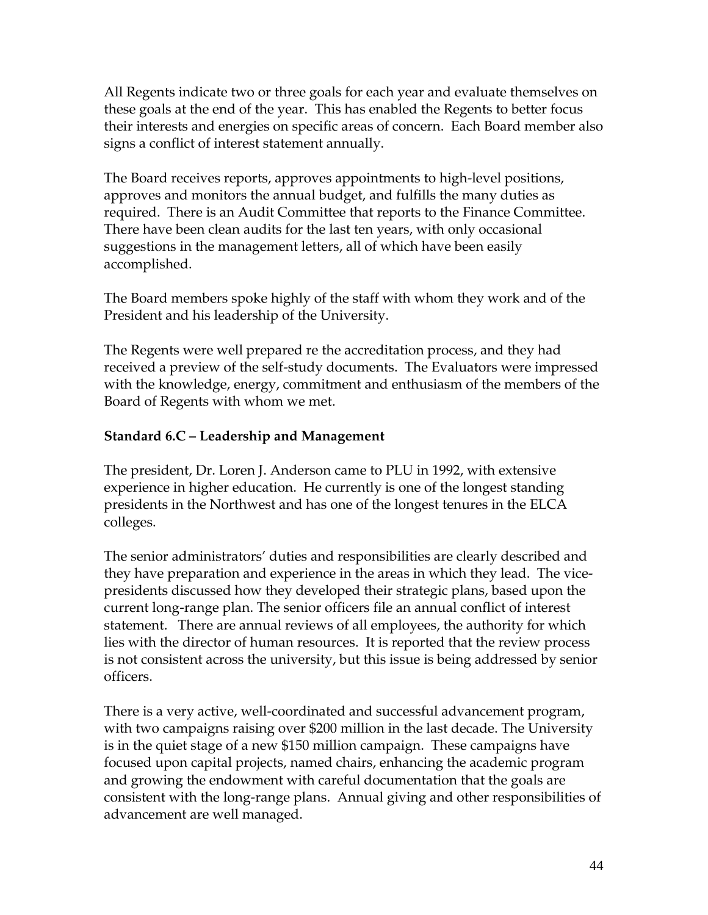All Regents indicate two or three goals for each year and evaluate themselves on these goals at the end of the year. This has enabled the Regents to better focus their interests and energies on specific areas of concern. Each Board member also signs a conflict of interest statement annually.

The Board receives reports, approves appointments to high-level positions, approves and monitors the annual budget, and fulfills the many duties as required. There is an Audit Committee that reports to the Finance Committee. There have been clean audits for the last ten years, with only occasional suggestions in the management letters, all of which have been easily accomplished.

The Board members spoke highly of the staff with whom they work and of the President and his leadership of the University.

The Regents were well prepared re the accreditation process, and they had received a preview of the self-study documents. The Evaluators were impressed with the knowledge, energy, commitment and enthusiasm of the members of the Board of Regents with whom we met.

# **Standard 6.C – Leadership and Management**

The president, Dr. Loren J. Anderson came to PLU in 1992, with extensive experience in higher education. He currently is one of the longest standing presidents in the Northwest and has one of the longest tenures in the ELCA colleges.

The senior administrators' duties and responsibilities are clearly described and they have preparation and experience in the areas in which they lead. The vicepresidents discussed how they developed their strategic plans, based upon the current long-range plan. The senior officers file an annual conflict of interest statement. There are annual reviews of all employees, the authority for which lies with the director of human resources. It is reported that the review process is not consistent across the university, but this issue is being addressed by senior officers.

There is a very active, well-coordinated and successful advancement program, with two campaigns raising over \$200 million in the last decade. The University is in the quiet stage of a new \$150 million campaign. These campaigns have focused upon capital projects, named chairs, enhancing the academic program and growing the endowment with careful documentation that the goals are consistent with the long-range plans. Annual giving and other responsibilities of advancement are well managed.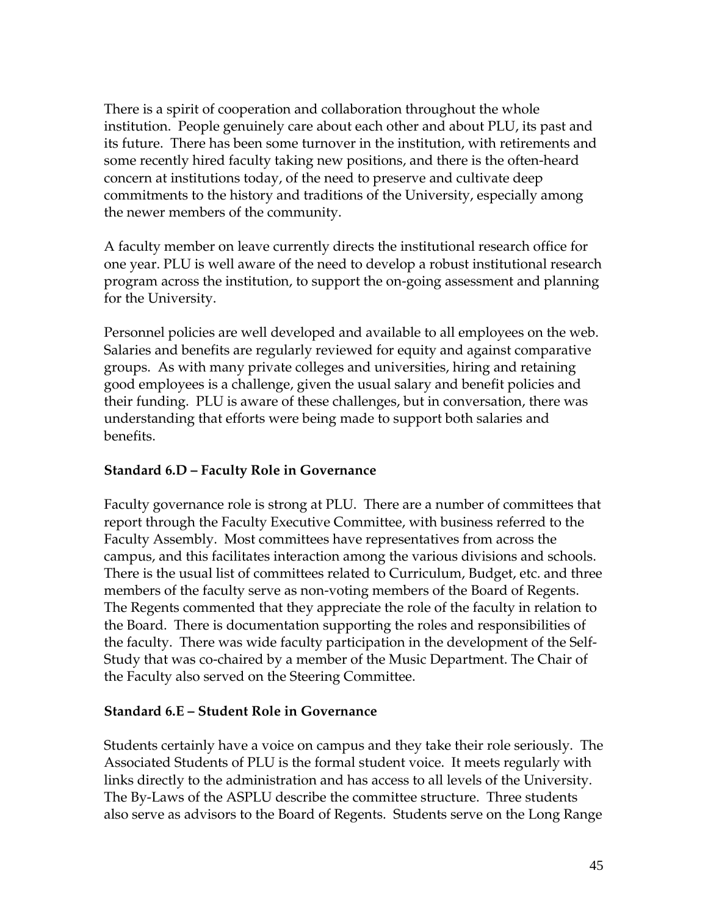There is a spirit of cooperation and collaboration throughout the whole institution. People genuinely care about each other and about PLU, its past and its future. There has been some turnover in the institution, with retirements and some recently hired faculty taking new positions, and there is the often-heard concern at institutions today, of the need to preserve and cultivate deep commitments to the history and traditions of the University, especially among the newer members of the community.

A faculty member on leave currently directs the institutional research office for one year. PLU is well aware of the need to develop a robust institutional research program across the institution, to support the on-going assessment and planning for the University.

Personnel policies are well developed and available to all employees on the web. Salaries and benefits are regularly reviewed for equity and against comparative groups. As with many private colleges and universities, hiring and retaining good employees is a challenge, given the usual salary and benefit policies and their funding. PLU is aware of these challenges, but in conversation, there was understanding that efforts were being made to support both salaries and benefits.

### **Standard 6.D – Faculty Role in Governance**

Faculty governance role is strong at PLU. There are a number of committees that report through the Faculty Executive Committee, with business referred to the Faculty Assembly. Most committees have representatives from across the campus, and this facilitates interaction among the various divisions and schools. There is the usual list of committees related to Curriculum, Budget, etc. and three members of the faculty serve as non-voting members of the Board of Regents. The Regents commented that they appreciate the role of the faculty in relation to the Board. There is documentation supporting the roles and responsibilities of the faculty. There was wide faculty participation in the development of the Self-Study that was co-chaired by a member of the Music Department. The Chair of the Faculty also served on the Steering Committee.

#### **Standard 6.E – Student Role in Governance**

Students certainly have a voice on campus and they take their role seriously. The Associated Students of PLU is the formal student voice. It meets regularly with links directly to the administration and has access to all levels of the University. The By-Laws of the ASPLU describe the committee structure. Three students also serve as advisors to the Board of Regents. Students serve on the Long Range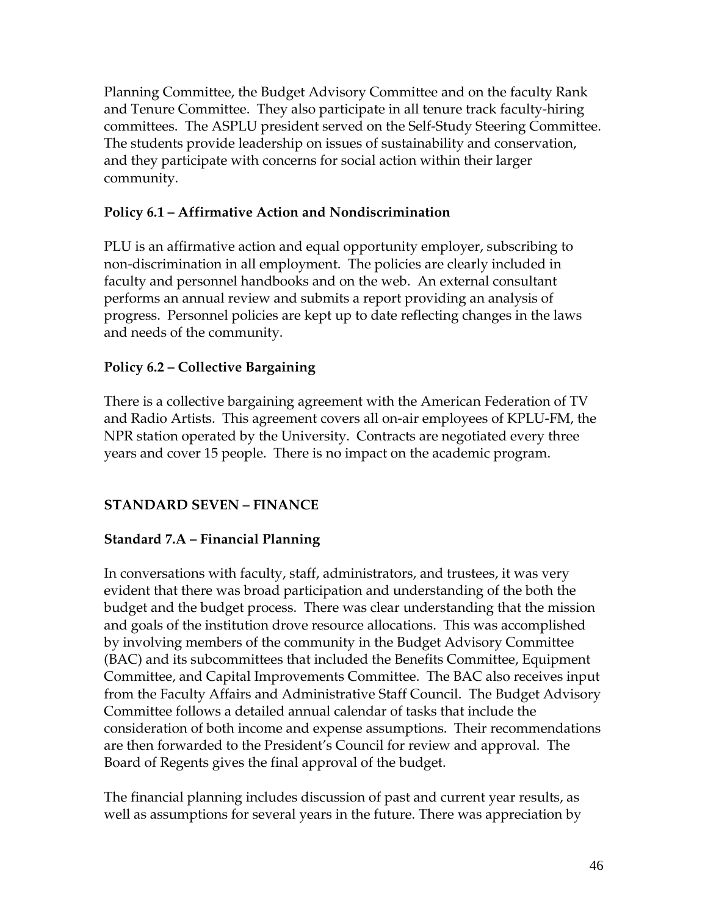Planning Committee, the Budget Advisory Committee and on the faculty Rank and Tenure Committee. They also participate in all tenure track faculty-hiring committees. The ASPLU president served on the Self-Study Steering Committee. The students provide leadership on issues of sustainability and conservation, and they participate with concerns for social action within their larger community.

# **Policy 6.1 – Affirmative Action and Nondiscrimination**

PLU is an affirmative action and equal opportunity employer, subscribing to non-discrimination in all employment. The policies are clearly included in faculty and personnel handbooks and on the web. An external consultant performs an annual review and submits a report providing an analysis of progress. Personnel policies are kept up to date reflecting changes in the laws and needs of the community.

### **Policy 6.2 – Collective Bargaining**

There is a collective bargaining agreement with the American Federation of TV and Radio Artists. This agreement covers all on-air employees of KPLU-FM, the NPR station operated by the University. Contracts are negotiated every three years and cover 15 people. There is no impact on the academic program.

### **STANDARD SEVEN – FINANCE**

### **Standard 7.A – Financial Planning**

In conversations with faculty, staff, administrators, and trustees, it was very evident that there was broad participation and understanding of the both the budget and the budget process. There was clear understanding that the mission and goals of the institution drove resource allocations. This was accomplished by involving members of the community in the Budget Advisory Committee (BAC) and its subcommittees that included the Benefits Committee, Equipment Committee, and Capital Improvements Committee. The BAC also receives input from the Faculty Affairs and Administrative Staff Council. The Budget Advisory Committee follows a detailed annual calendar of tasks that include the consideration of both income and expense assumptions. Their recommendations are then forwarded to the President's Council for review and approval. The Board of Regents gives the final approval of the budget.

The financial planning includes discussion of past and current year results, as well as assumptions for several years in the future. There was appreciation by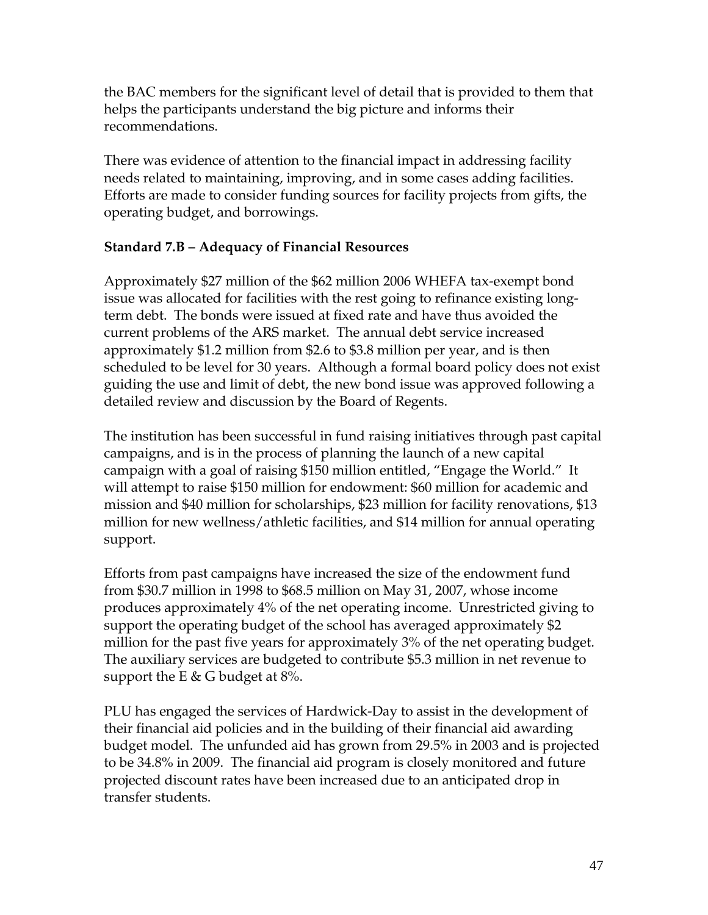the BAC members for the significant level of detail that is provided to them that helps the participants understand the big picture and informs their recommendations.

There was evidence of attention to the financial impact in addressing facility needs related to maintaining, improving, and in some cases adding facilities. Efforts are made to consider funding sources for facility projects from gifts, the operating budget, and borrowings.

### **Standard 7.B – Adequacy of Financial Resources**

Approximately \$27 million of the \$62 million 2006 WHEFA tax-exempt bond issue was allocated for facilities with the rest going to refinance existing longterm debt. The bonds were issued at fixed rate and have thus avoided the current problems of the ARS market. The annual debt service increased approximately \$1.2 million from \$2.6 to \$3.8 million per year, and is then scheduled to be level for 30 years. Although a formal board policy does not exist guiding the use and limit of debt, the new bond issue was approved following a detailed review and discussion by the Board of Regents.

The institution has been successful in fund raising initiatives through past capital campaigns, and is in the process of planning the launch of a new capital campaign with a goal of raising \$150 million entitled, "Engage the World." It will attempt to raise \$150 million for endowment: \$60 million for academic and mission and \$40 million for scholarships, \$23 million for facility renovations, \$13 million for new wellness/athletic facilities, and \$14 million for annual operating support.

Efforts from past campaigns have increased the size of the endowment fund from \$30.7 million in 1998 to \$68.5 million on May 31, 2007, whose income produces approximately 4% of the net operating income. Unrestricted giving to support the operating budget of the school has averaged approximately \$2 million for the past five years for approximately 3% of the net operating budget. The auxiliary services are budgeted to contribute \$5.3 million in net revenue to support the E  $\&$  G budget at 8%.

PLU has engaged the services of Hardwick-Day to assist in the development of their financial aid policies and in the building of their financial aid awarding budget model. The unfunded aid has grown from 29.5% in 2003 and is projected to be 34.8% in 2009. The financial aid program is closely monitored and future projected discount rates have been increased due to an anticipated drop in transfer students.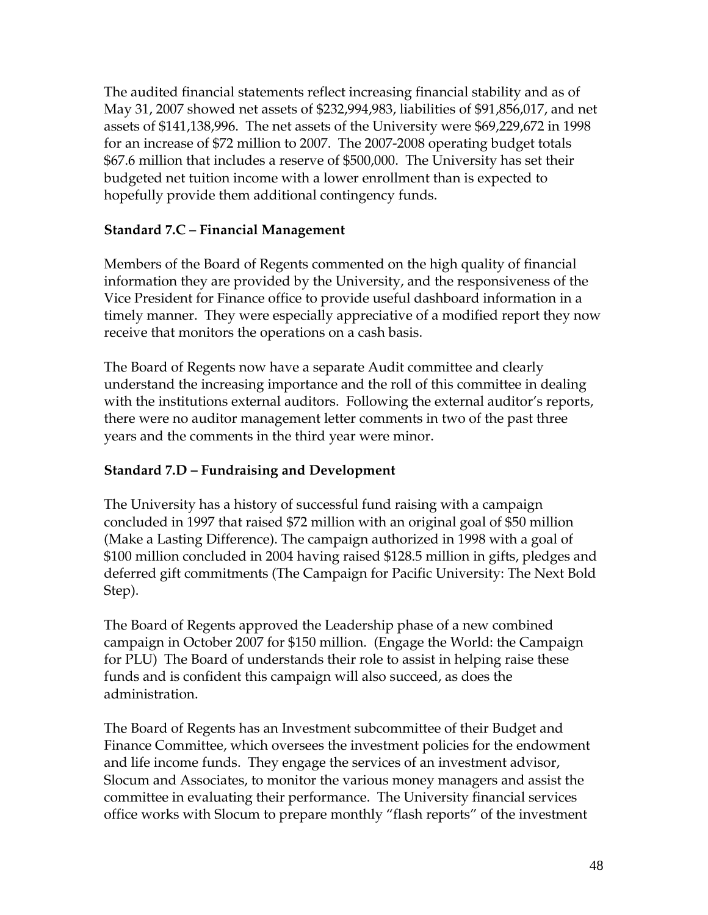The audited financial statements reflect increasing financial stability and as of May 31, 2007 showed net assets of \$232,994,983, liabilities of \$91,856,017, and net assets of \$141,138,996. The net assets of the University were \$69,229,672 in 1998 for an increase of \$72 million to 2007. The 2007-2008 operating budget totals \$67.6 million that includes a reserve of \$500,000. The University has set their budgeted net tuition income with a lower enrollment than is expected to hopefully provide them additional contingency funds.

### **Standard 7.C – Financial Management**

Members of the Board of Regents commented on the high quality of financial information they are provided by the University, and the responsiveness of the Vice President for Finance office to provide useful dashboard information in a timely manner. They were especially appreciative of a modified report they now receive that monitors the operations on a cash basis.

The Board of Regents now have a separate Audit committee and clearly understand the increasing importance and the roll of this committee in dealing with the institutions external auditors. Following the external auditor's reports, there were no auditor management letter comments in two of the past three years and the comments in the third year were minor.

# **Standard 7.D – Fundraising and Development**

The University has a history of successful fund raising with a campaign concluded in 1997 that raised \$72 million with an original goal of \$50 million (Make a Lasting Difference). The campaign authorized in 1998 with a goal of \$100 million concluded in 2004 having raised \$128.5 million in gifts, pledges and deferred gift commitments (The Campaign for Pacific University: The Next Bold Step).

The Board of Regents approved the Leadership phase of a new combined campaign in October 2007 for \$150 million. (Engage the World: the Campaign for PLU) The Board of understands their role to assist in helping raise these funds and is confident this campaign will also succeed, as does the administration.

The Board of Regents has an Investment subcommittee of their Budget and Finance Committee, which oversees the investment policies for the endowment and life income funds. They engage the services of an investment advisor, Slocum and Associates, to monitor the various money managers and assist the committee in evaluating their performance. The University financial services office works with Slocum to prepare monthly "flash reports" of the investment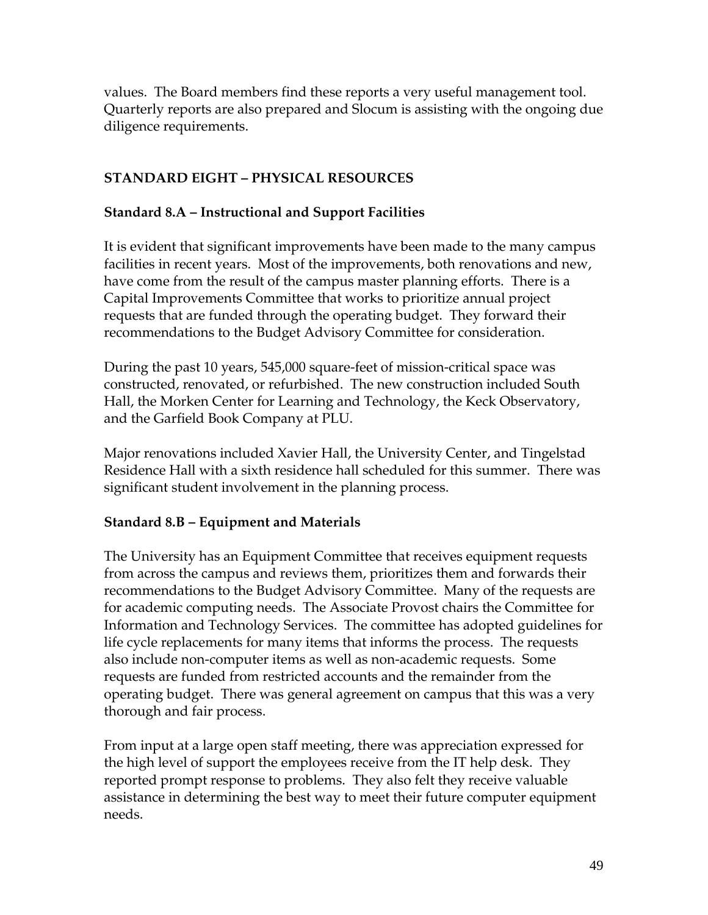values. The Board members find these reports a very useful management tool. Quarterly reports are also prepared and Slocum is assisting with the ongoing due diligence requirements.

# **STANDARD EIGHT – PHYSICAL RESOURCES**

#### **Standard 8.A – Instructional and Support Facilities**

It is evident that significant improvements have been made to the many campus facilities in recent years. Most of the improvements, both renovations and new, have come from the result of the campus master planning efforts. There is a Capital Improvements Committee that works to prioritize annual project requests that are funded through the operating budget. They forward their recommendations to the Budget Advisory Committee for consideration.

During the past 10 years, 545,000 square-feet of mission-critical space was constructed, renovated, or refurbished. The new construction included South Hall, the Morken Center for Learning and Technology, the Keck Observatory, and the Garfield Book Company at PLU.

Major renovations included Xavier Hall, the University Center, and Tingelstad Residence Hall with a sixth residence hall scheduled for this summer. There was significant student involvement in the planning process.

### **Standard 8.B – Equipment and Materials**

The University has an Equipment Committee that receives equipment requests from across the campus and reviews them, prioritizes them and forwards their recommendations to the Budget Advisory Committee. Many of the requests are for academic computing needs. The Associate Provost chairs the Committee for Information and Technology Services. The committee has adopted guidelines for life cycle replacements for many items that informs the process. The requests also include non-computer items as well as non-academic requests. Some requests are funded from restricted accounts and the remainder from the operating budget. There was general agreement on campus that this was a very thorough and fair process.

From input at a large open staff meeting, there was appreciation expressed for the high level of support the employees receive from the IT help desk. They reported prompt response to problems. They also felt they receive valuable assistance in determining the best way to meet their future computer equipment needs.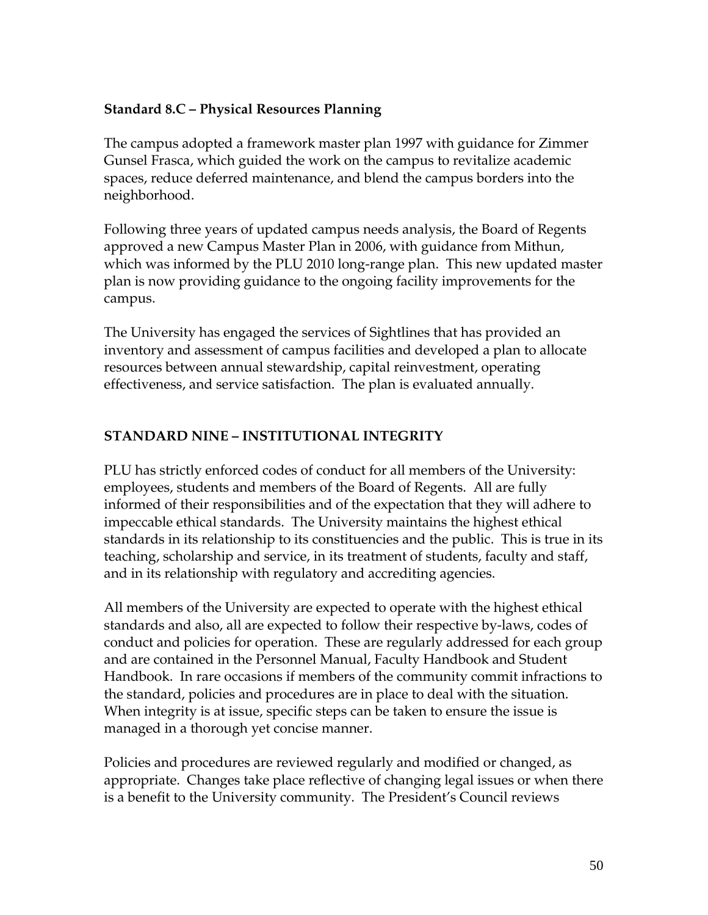### **Standard 8.C – Physical Resources Planning**

The campus adopted a framework master plan 1997 with guidance for Zimmer Gunsel Frasca, which guided the work on the campus to revitalize academic spaces, reduce deferred maintenance, and blend the campus borders into the neighborhood.

Following three years of updated campus needs analysis, the Board of Regents approved a new Campus Master Plan in 2006, with guidance from Mithun, which was informed by the PLU 2010 long-range plan. This new updated master plan is now providing guidance to the ongoing facility improvements for the campus.

The University has engaged the services of Sightlines that has provided an inventory and assessment of campus facilities and developed a plan to allocate resources between annual stewardship, capital reinvestment, operating effectiveness, and service satisfaction. The plan is evaluated annually.

### **STANDARD NINE – INSTITUTIONAL INTEGRITY**

PLU has strictly enforced codes of conduct for all members of the University: employees, students and members of the Board of Regents. All are fully informed of their responsibilities and of the expectation that they will adhere to impeccable ethical standards. The University maintains the highest ethical standards in its relationship to its constituencies and the public. This is true in its teaching, scholarship and service, in its treatment of students, faculty and staff, and in its relationship with regulatory and accrediting agencies.

All members of the University are expected to operate with the highest ethical standards and also, all are expected to follow their respective by-laws, codes of conduct and policies for operation. These are regularly addressed for each group and are contained in the Personnel Manual, Faculty Handbook and Student Handbook. In rare occasions if members of the community commit infractions to the standard, policies and procedures are in place to deal with the situation. When integrity is at issue, specific steps can be taken to ensure the issue is managed in a thorough yet concise manner.

Policies and procedures are reviewed regularly and modified or changed, as appropriate. Changes take place reflective of changing legal issues or when there is a benefit to the University community. The President's Council reviews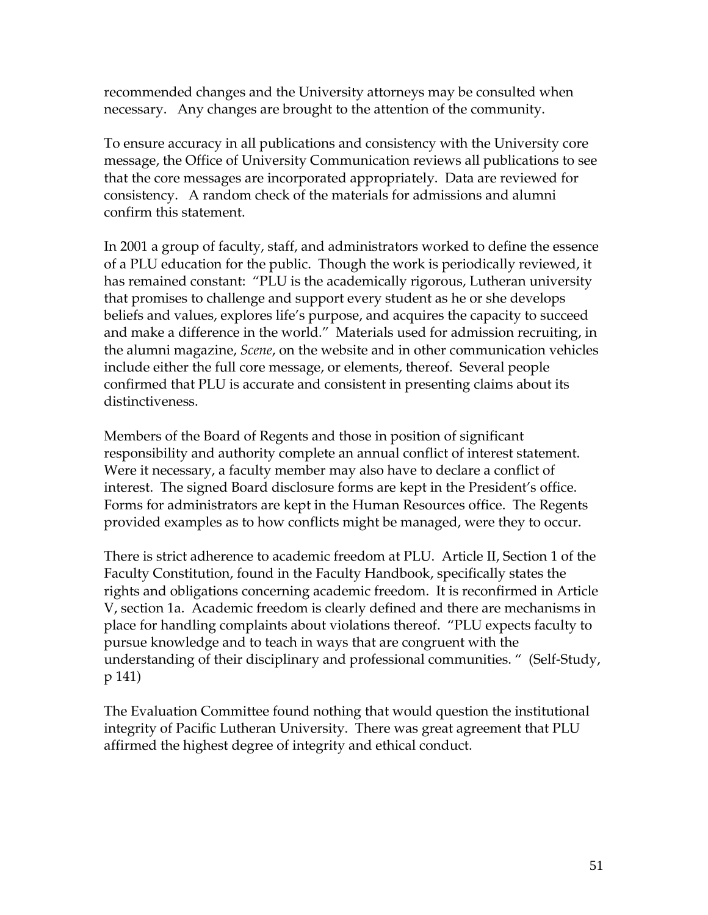recommended changes and the University attorneys may be consulted when necessary. Any changes are brought to the attention of the community.

To ensure accuracy in all publications and consistency with the University core message, the Office of University Communication reviews all publications to see that the core messages are incorporated appropriately. Data are reviewed for consistency. A random check of the materials for admissions and alumni confirm this statement.

In 2001 a group of faculty, staff, and administrators worked to define the essence of a PLU education for the public. Though the work is periodically reviewed, it has remained constant: "PLU is the academically rigorous, Lutheran university that promises to challenge and support every student as he or she develops beliefs and values, explores life's purpose, and acquires the capacity to succeed and make a difference in the world." Materials used for admission recruiting, in the alumni magazine, *Scene*, on the website and in other communication vehicles include either the full core message, or elements, thereof. Several people confirmed that PLU is accurate and consistent in presenting claims about its distinctiveness.

Members of the Board of Regents and those in position of significant responsibility and authority complete an annual conflict of interest statement. Were it necessary, a faculty member may also have to declare a conflict of interest. The signed Board disclosure forms are kept in the President's office. Forms for administrators are kept in the Human Resources office. The Regents provided examples as to how conflicts might be managed, were they to occur.

There is strict adherence to academic freedom at PLU. Article II, Section 1 of the Faculty Constitution, found in the Faculty Handbook, specifically states the rights and obligations concerning academic freedom. It is reconfirmed in Article V, section 1a. Academic freedom is clearly defined and there are mechanisms in place for handling complaints about violations thereof. "PLU expects faculty to pursue knowledge and to teach in ways that are congruent with the understanding of their disciplinary and professional communities. " (Self-Study, p 141)

The Evaluation Committee found nothing that would question the institutional integrity of Pacific Lutheran University. There was great agreement that PLU affirmed the highest degree of integrity and ethical conduct.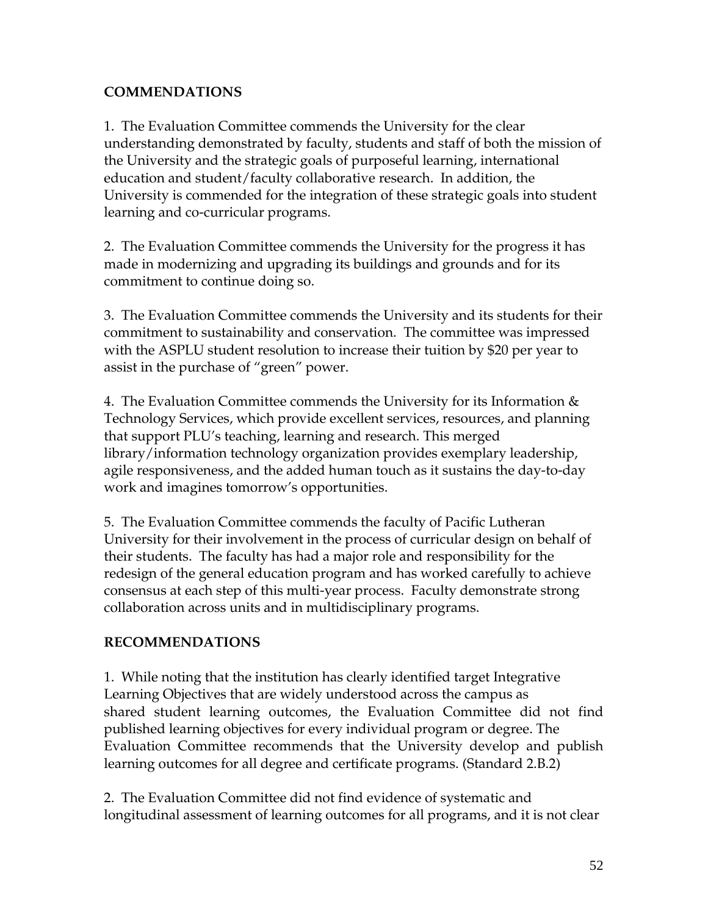# **COMMENDATIONS**

1. The Evaluation Committee commends the University for the clear understanding demonstrated by faculty, students and staff of both the mission of the University and the strategic goals of purposeful learning, international education and student/faculty collaborative research. In addition, the University is commended for the integration of these strategic goals into student learning and co-curricular programs.

2.The Evaluation Committee commends the University for the progress it has made in modernizing and upgrading its buildings and grounds and for its commitment to continue doing so.

3. The Evaluation Committee commends the University and its students for their commitment to sustainability and conservation. The committee was impressed with the ASPLU student resolution to increase their tuition by \$20 per year to assist in the purchase of "green" power.

4. The Evaluation Committee commends the University for its Information & Technology Services, which provide excellent services, resources, and planning that support PLU's teaching, learning and research. This merged library/information technology organization provides exemplary leadership, agile responsiveness, and the added human touch as it sustains the day-to-day work and imagines tomorrow's opportunities.

5. The Evaluation Committee commends the faculty of Pacific Lutheran University for their involvement in the process of curricular design on behalf of their students. The faculty has had a major role and responsibility for the redesign of the general education program and has worked carefully to achieve consensus at each step of this multi-year process. Faculty demonstrate strong collaboration across units and in multidisciplinary programs.

# **RECOMMENDATIONS**

1. While noting that the institution has clearly identified target Integrative Learning Objectives that are widely understood across the campus as shared student learning outcomes, the Evaluation Committee did not find published learning objectives for every individual program or degree. The Evaluation Committee recommends that the University develop and publish learning outcomes for all degree and certificate programs. (Standard 2.B.2)

2. The Evaluation Committee did not find evidence of systematic and longitudinal assessment of learning outcomes for all programs, and it is not clear